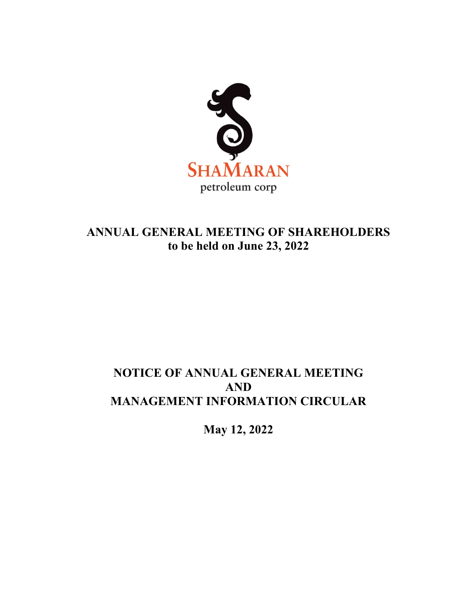

# **ANNUAL GENERAL MEETING OF SHAREHOLDERS to be held on June 23, 2022**

# **NOTICE OF ANNUAL GENERAL MEETING AND MANAGEMENT INFORMATION CIRCULAR**

**May 12, 2022**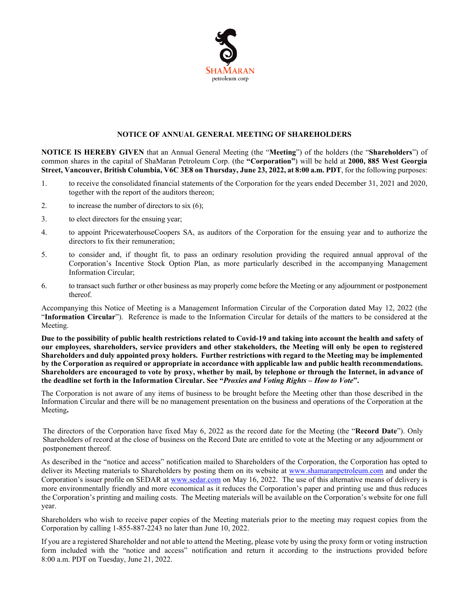

# **NOTICE OF ANNUAL GENERAL MEETING OF SHAREHOLDERS**

**NOTICE IS HEREBY GIVEN** that an Annual General Meeting (the "**Meeting**") of the holders (the "**Shareholders**") of common shares in the capital of ShaMaran Petroleum Corp. (the **"Corporation"**) will be held at **2000, 885 West Georgia Street, Vancouver, British Columbia, V6C 3E8 on Thursday, June 23, 2022, at 8:00 a.m. PDT**, for the following purposes:

- 1. to receive the consolidated financial statements of the Corporation for the years ended December 31, 2021 and 2020, together with the report of the auditors thereon;
- 2. to increase the number of directors to six (6);
- 3. to elect directors for the ensuing year;
- 4. to appoint PricewaterhouseCoopers SA, as auditors of the Corporation for the ensuing year and to authorize the directors to fix their remuneration;
- 5. to consider and, if thought fit, to pass an ordinary resolution providing the required annual approval of the Corporation's Incentive Stock Option Plan, as more particularly described in the accompanying Management Information Circular;
- 6. to transact such further or other business as may properly come before the Meeting or any adjournment or postponement thereof.

Accompanying this Notice of Meeting is a Management Information Circular of the Corporation dated May 12, 2022 (the "**Information Circular**"). Reference is made to the Information Circular for details of the matters to be considered at the Meeting.

**Due to the possibility of public health restrictions related to Covid-19 and taking into account the health and safety of our employees, shareholders, service providers and other stakeholders, the Meeting will only be open to registered Shareholders and duly appointed proxy holders. Further restrictions with regard to the Meeting may be implemented by the Corporation as required or appropriate in accordance with applicable law and public health recommendations. Shareholders are encouraged to vote by proxy, whether by mail, by telephone or through the Internet, in advance of the deadline set forth in the Information Circular. See "***Proxies and Voting Rights – How to Vote***".** 

The Corporation is not aware of any items of business to be brought before the Meeting other than those described in the Information Circular and there will be no management presentation on the business and operations of the Corporation at the Meeting**.**

The directors of the Corporation have fixed May 6, 2022 as the record date for the Meeting (the "**Record Date**"). Only Shareholders of record at the close of business on the Record Date are entitled to vote at the Meeting or any adjournment or postponement thereof.

As described in the "notice and access" notification mailed to Shareholders of the Corporation, the Corporation has opted to deliver its Meeting materials to Shareholders by posting them on its website at [www.shamaranpetroleum.com](http://www.shamaranpetroleum.com/) and under the Corporation's issuer profile on SEDAR at [www.sedar.com](http://www.sedar.com/) on May 16, 2022. The use of this alternative means of delivery is more environmentally friendly and more economical as it reduces the Corporation's paper and printing use and thus reduces the Corporation's printing and mailing costs. The Meeting materials will be available on the Corporation's website for one full year.

Shareholders who wish to receive paper copies of the Meeting materials prior to the meeting may request copies from the Corporation by calling 1-855-887-2243 no later than June 10, 2022.

If you are a registered Shareholder and not able to attend the Meeting, please vote by using the proxy form or voting instruction form included with the "notice and access" notification and return it according to the instructions provided before 8:00 a.m. PDT on Tuesday, June 21, 2022.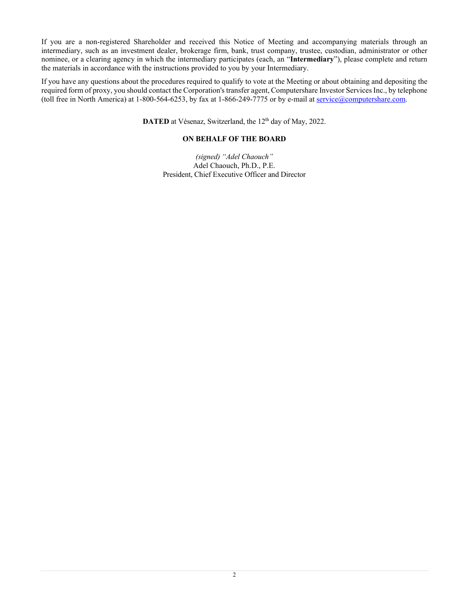If you are a non-registered Shareholder and received this Notice of Meeting and accompanying materials through an intermediary, such as an investment dealer, brokerage firm, bank, trust company, trustee, custodian, administrator or other nominee, or a clearing agency in which the intermediary participates (each, an "**Intermediary**"), please complete and return the materials in accordance with the instructions provided to you by your Intermediary.

If you have any questions about the procedures required to qualify to vote at the Meeting or about obtaining and depositing the required form of proxy, you should contact the Corporation's transfer agent, Computershare Investor Services Inc., by telephone (toll free in North America) at 1-800-564-6253, by fax at 1-866-249-7775 or by e-mail at [service@computershare.com.](mailto:service@computershare.com)

**DATED** at Vésenaz, Switzerland, the 12<sup>th</sup> day of May, 2022.

# **ON BEHALF OF THE BOARD**

*(signed) "Adel Chaouch"* Adel Chaouch, Ph.D., P.E. President, Chief Executive Officer and Director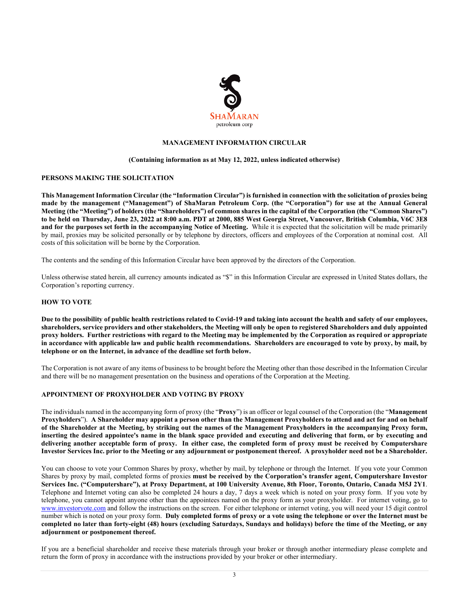

## **MANAGEMENT INFORMATION CIRCULAR**

#### **(Containing information as at May 12, 2022, unless indicated otherwise)**

#### **PERSONS MAKING THE SOLICITATION**

**This Management Information Circular (the "Information Circular") is furnished in connection with the solicitation of proxies being made by the management ("Management") of ShaMaran Petroleum Corp. (the "Corporation") for use at the Annual General Meeting (the "Meeting") of holders (the "Shareholders") of common shares in the capital of the Corporation (the "Common Shares") to be held on Thursday, June 23, 2022 at 8:00 a.m. PDT at 2000, 885 West Georgia Street, Vancouver, British Columbia, V6C 3E8 and for the purposes set forth in the accompanying Notice of Meeting.** While it is expected that the solicitation will be made primarily by mail, proxies may be solicited personally or by telephone by directors, officers and employees of the Corporation at nominal cost. All costs of this solicitation will be borne by the Corporation.

The contents and the sending of this Information Circular have been approved by the directors of the Corporation.

Unless otherwise stated herein, all currency amounts indicated as "\$" in this Information Circular are expressed in United States dollars, the Corporation's reporting currency.

#### **HOW TO VOTE**

**Due to the possibility of public health restrictions related to Covid-19 and taking into account the health and safety of our employees, shareholders, service providers and other stakeholders, the Meeting will only be open to registered Shareholders and duly appointed proxy holders. Further restrictions with regard to the Meeting may be implemented by the Corporation as required or appropriate in accordance with applicable law and public health recommendations. Shareholders are encouraged to vote by proxy, by mail, by telephone or on the Internet, in advance of the deadline set forth below.** 

The Corporation is not aware of any items of business to be brought before the Meeting other than those described in the Information Circular and there will be no management presentation on the business and operations of the Corporation at the Meeting.

#### **APPOINTMENT OF PROXYHOLDER AND VOTING BY PROXY**

The individuals named in the accompanying form of proxy (the "**Proxy**") is an officer or legal counsel of the Corporation (the "**Management Proxyholders**"). **A Shareholder may appoint a person other than the Management Proxyholders to attend and act for and on behalf of the Shareholder at the Meeting, by striking out the names of the Management Proxyholders in the accompanying Proxy form, inserting the desired appointee's name in the blank space provided and executing and delivering that form, or by executing and delivering another acceptable form of proxy. In either case, the completed form of proxy must be received by Computershare Investor Services Inc. prior to the Meeting or any adjournment or postponement thereof. A proxyholder need not be a Shareholder.** 

You can choose to vote your Common Shares by proxy, whether by mail, by telephone or through the Internet. If you vote your Common Shares by proxy by mail, completed forms of proxies **must be received by the Corporation's transfer agent, Computershare Investor Services Inc. ("Computershare"), at Proxy Department, at 100 University Avenue, 8th Floor, Toronto, Ontario, Canada M5J 2Y1**. Telephone and Internet voting can also be completed 24 hours a day, 7 days a week which is noted on your proxy form. If you vote by telephone, you cannot appoint anyone other than the appointees named on the proxy form as your proxyholder. For internet voting, go to [www.investorvote.com](http://www.investorvote.com/) and follow the instructions on the screen. For either telephone or internet voting, you will need your 15 digit control number which is noted on your proxy form. **Duly completed forms of proxy or a vote using the telephone or over the Internet must be completed no later than forty-eight (48) hours (excluding Saturdays, Sundays and holidays) before the time of the Meeting, or any adjournment or postponement thereof.** 

If you are a beneficial shareholder and receive these materials through your broker or through another intermediary please complete and return the form of proxy in accordance with the instructions provided by your broker or other intermediary.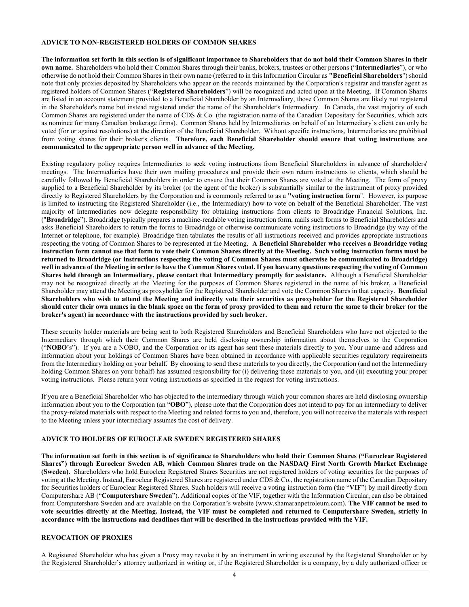## **ADVICE TO NON-REGISTERED HOLDERS OF COMMON SHARES**

**The information set forth in this section is of significant importance to Shareholders that do not hold their Common Shares in their own name.** Shareholders who hold their Common Shares through their banks, brokers, trustees or other persons ("**Intermediaries**"), or who otherwise do not hold their Common Shares in their own name (referred to in this Information Circular as **"Beneficial Shareholders**") should note that only proxies deposited by Shareholders who appear on the records maintained by the Corporation's registrar and transfer agent as registered holders of Common Shares ("**Registered Shareholders**") will be recognized and acted upon at the Meeting. If Common Shares are listed in an account statement provided to a Beneficial Shareholder by an Intermediary, those Common Shares are likely not registered in the Shareholder's name but instead registered under the name of the Shareholder's Intermediary. In Canada, the vast majority of such Common Shares are registered under the name of CDS & Co. (the registration name of the Canadian Depositary for Securities, which acts as nominee for many Canadian brokerage firms). Common Shares held by Intermediaries on behalf of an Intermediary's client can only be voted (for or against resolutions) at the direction of the Beneficial Shareholder. Without specific instructions, Intermediaries are prohibited from voting shares for their broker's clients. **Therefore, each Beneficial Shareholder should ensure that voting instructions are communicated to the appropriate person well in advance of the Meeting.**

Existing regulatory policy requires Intermediaries to seek voting instructions from Beneficial Shareholders in advance of shareholders' meetings. The Intermediaries have their own mailing procedures and provide their own return instructions to clients, which should be carefully followed by Beneficial Shareholders in order to ensure that their Common Shares are voted at the Meeting. The form of proxy supplied to a Beneficial Shareholder by its broker (or the agent of the broker) is substantially similar to the instrument of proxy provided directly to Registered Shareholders by the Corporation and is commonly referred to as a **"voting instruction form**". However, its purpose is limited to instructing the Registered Shareholder (i.e., the Intermediary) how to vote on behalf of the Beneficial Shareholder. The vast majority of Intermediaries now delegate responsibility for obtaining instructions from clients to Broadridge Financial Solutions, Inc. ("**Broadridge**"). Broadridge typically prepares a machine-readable voting instruction form, mails such forms to Beneficial Shareholders and asks Beneficial Shareholders to return the forms to Broadridge or otherwise communicate voting instructions to Broadridge (by way of the Internet or telephone, for example). Broadridge then tabulates the results of all instructions received and provides appropriate instructions respecting the voting of Common Shares to be represented at the Meeting. **A Beneficial Shareholder who receives a Broadridge voting instruction form cannot use that form to vote their Common Shares directly at the Meeting. Such voting instruction forms must be returned to Broadridge (or instructions respecting the voting of Common Shares must otherwise be communicated to Broadridge) well in advance of the Meeting in order to have the Common Shares voted. If you have any questions respecting the voting of Common Shares held through an Intermediary, please contact that Intermediary promptly for assistance.** Although a Beneficial Shareholder may not be recognized directly at the Meeting for the purposes of Common Shares registered in the name of his broker, a Beneficial Shareholder may attend the Meeting as proxyholder for the Registered Shareholder and vote the Common Shares in that capacity. **Beneficial Shareholders who wish to attend the Meeting and indirectly vote their securities as proxyholder for the Registered Shareholder should enter their own names in the blank space on the form of proxy provided to them and return the same to their broker (or the broker's agent) in accordance with the instructions provided by such broker.**

These security holder materials are being sent to both Registered Shareholders and Beneficial Shareholders who have not objected to the Intermediary through which their Common Shares are held disclosing ownership information about themselves to the Corporation ("**NOBO**'s"). If you are a NOBO, and the Corporation or its agent has sent these materials directly to you. Your name and address and information about your holdings of Common Shares have been obtained in accordance with applicable securities regulatory requirements from the Intermediary holding on your behalf. By choosing to send these materials to you directly, the Corporation (and not the Intermediary holding Common Shares on your behalf) has assumed responsibility for (i) delivering these materials to you, and (ii) executing your proper voting instructions. Please return your voting instructions as specified in the request for voting instructions.

If you are a Beneficial Shareholder who has objected to the intermediary through which your common shares are held disclosing ownership information about you to the Corporation (an "**OBO**"), please note that the Corporation does not intend to pay for an intermediary to deliver the proxy-related materials with respect to the Meeting and related forms to you and, therefore, you will not receive the materials with respect to the Meeting unless your intermediary assumes the cost of delivery.

# **ADVICE TO HOLDERS OF EUROCLEAR SWEDEN REGISTERED SHARES**

**The information set forth in this section is of significance to Shareholders who hold their Common Shares ("Euroclear Registered Shares") through Euroclear Sweden AB, which Common Shares trade on the NASDAQ First North Growth Market Exchange (Sweden).** Shareholders who hold Euroclear Registered Shares Securities are not registered holders of voting securities for the purposes of voting at the Meeting. Instead, Euroclear Registered Shares are registered under CDS & Co., the registration name of the Canadian Depositary for Securities holders of Euroclear Registered Shares. Such holders will receive a voting instruction form (the "**VIF**") by mail directly from Computershare AB ("**Computershare Sweden**"). Additional copies of the VIF, together with the Information Circular, can also be obtained from Computershare Sweden and are available on the Corporation's website (www.shamaranpetroleum.com). **The VIF cannot be used to vote securities directly at the Meeting. Instead, the VIF must be completed and returned to Computershare Sweden, strictly in accordance with the instructions and deadlines that will be described in the instructions provided with the VIF.**

# **REVOCATION OF PROXIES**

A Registered Shareholder who has given a Proxy may revoke it by an instrument in writing executed by the Registered Shareholder or by the Registered Shareholder's attorney authorized in writing or, if the Registered Shareholder is a company, by a duly authorized officer or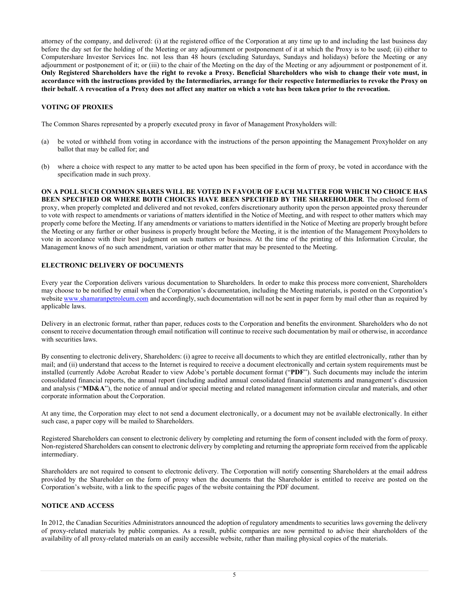attorney of the company, and delivered: (i) at the registered office of the Corporation at any time up to and including the last business day before the day set for the holding of the Meeting or any adjournment or postponement of it at which the Proxy is to be used; (ii) either to Computershare Investor Services Inc. not less than 48 hours (excluding Saturdays, Sundays and holidays) before the Meeting or any adjournment or postponement of it; or (iii) to the chair of the Meeting on the day of the Meeting or any adjournment or postponement of it. **Only Registered Shareholders have the right to revoke a Proxy. Beneficial Shareholders who wish to change their vote must, in accordance with the instructions provided by the Intermediaries, arrange for their respective Intermediaries to revoke the Proxy on their behalf. A revocation of a Proxy does not affect any matter on which a vote has been taken prior to the revocation.**

# **VOTING OF PROXIES**

The Common Shares represented by a properly executed proxy in favor of Management Proxyholders will:

- (a) be voted or withheld from voting in accordance with the instructions of the person appointing the Management Proxyholder on any ballot that may be called for; and
- (b) where a choice with respect to any matter to be acted upon has been specified in the form of proxy, be voted in accordance with the specification made in such proxy.

**ON A POLL SUCH COMMON SHARES WILL BE VOTED IN FAVOUR OF EACH MATTER FOR WHICH NO CHOICE HAS BEEN SPECIFIED OR WHERE BOTH CHOICES HAVE BEEN SPECIFIED BY THE SHAREHOLDER**. The enclosed form of proxy, when properly completed and delivered and not revoked, confers discretionary authority upon the person appointed proxy thereunder to vote with respect to amendments or variations of matters identified in the Notice of Meeting, and with respect to other matters which may properly come before the Meeting. If any amendments or variations to matters identified in the Notice of Meeting are properly brought before the Meeting or any further or other business is properly brought before the Meeting, it is the intention of the Management Proxyholders to vote in accordance with their best judgment on such matters or business. At the time of the printing of this Information Circular, the Management knows of no such amendment, variation or other matter that may be presented to the Meeting.

# **ELECTRONIC DELIVERY OF DOCUMENTS**

Every year the Corporation delivers various documentation to Shareholders. In order to make this process more convenient, Shareholders may choose to be notified by email when the Corporation's documentation, including the Meeting materials, is posted on the Corporation's website www.shamaranpetroleum.com and accordingly, such documentation will not be sent in paper form by mail other than as required by applicable laws.

Delivery in an electronic format, rather than paper, reduces costs to the Corporation and benefits the environment. Shareholders who do not consent to receive documentation through email notification will continue to receive such documentation by mail or otherwise, in accordance with securities laws.

By consenting to electronic delivery, Shareholders: (i) agree to receive all documents to which they are entitled electronically, rather than by mail; and (ii) understand that access to the Internet is required to receive a document electronically and certain system requirements must be installed (currently Adobe Acrobat Reader to view Adobe's portable document format ("**PDF**"). Such documents may include the interim consolidated financial reports, the annual report (including audited annual consolidated financial statements and management's discussion and analysis ("**MD&A**"), the notice of annual and/or special meeting and related management information circular and materials, and other corporate information about the Corporation.

At any time, the Corporation may elect to not send a document electronically, or a document may not be available electronically. In either such case, a paper copy will be mailed to Shareholders.

Registered Shareholders can consent to electronic delivery by completing and returning the form of consent included with the form of proxy. Non-registered Shareholders can consent to electronic delivery by completing and returning the appropriate form received from the applicable intermediary.

Shareholders are not required to consent to electronic delivery. The Corporation will notify consenting Shareholders at the email address provided by the Shareholder on the form of proxy when the documents that the Shareholder is entitled to receive are posted on the Corporation's website, with a link to the specific pages of the website containing the PDF document.

# **NOTICE AND ACCESS**

In 2012, the Canadian Securities Administrators announced the adoption of regulatory amendments to securities laws governing the delivery of proxy-related materials by public companies. As a result, public companies are now permitted to advise their shareholders of the availability of all proxy-related materials on an easily accessible website, rather than mailing physical copies of the materials.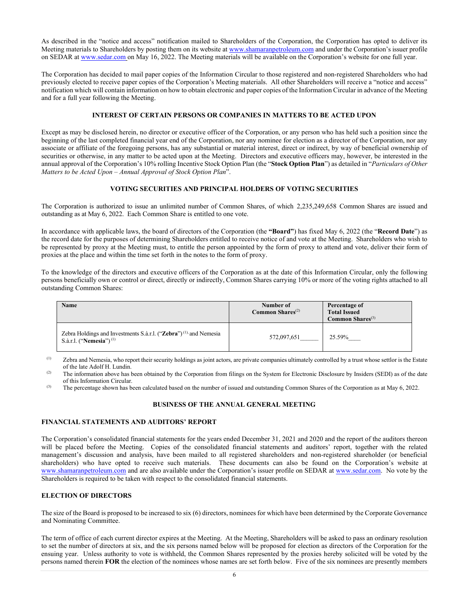As described in the "notice and access" notification mailed to Shareholders of the Corporation, the Corporation has opted to deliver its Meeting materials to Shareholders by posting them on its website a[t www.shamaranpetroleum.com](http://www.shamaranpetroleum.com./) and under the Corporation's issuer profile on SEDAR at [www.sedar.com](http://www.sedar.com/) on May 16, 2022. The Meeting materials will be available on the Corporation's website for one full year.

The Corporation has decided to mail paper copies of the Information Circular to those registered and non-registered Shareholders who had previously elected to receive paper copies of the Corporation's Meeting materials. All other Shareholders will receive a "notice and access" notification which will contain information on how to obtain electronic and paper copies of the Information Circular in advance of the Meeting and for a full year following the Meeting.

# **INTEREST OF CERTAIN PERSONS OR COMPANIES IN MATTERS TO BE ACTED UPON**

Except as may be disclosed herein, no director or executive officer of the Corporation, or any person who has held such a position since the beginning of the last completed financial year end of the Corporation, nor any nominee for election as a director of the Corporation, nor any associate or affiliate of the foregoing persons, has any substantial or material interest, direct or indirect, by way of beneficial ownership of securities or otherwise, in any matter to be acted upon at the Meeting. Directors and executive officers may, however, be interested in the annual approval of the Corporation's 10% rolling Incentive Stock Option Plan (the "**Stock Option Plan**") as detailed in "*Particulars of Other Matters to be Acted Upon – Annual Approval of Stock Option Plan*".

# **VOTING SECURITIES AND PRINCIPAL HOLDERS OF VOTING SECURITIES**

The Corporation is authorized to issue an unlimited number of Common Shares, of which 2,235,249,658 Common Shares are issued and outstanding as at May 6, 2022. Each Common Share is entitled to one vote.

In accordance with applicable laws, the board of directors of the Corporation (the **"Board"**) has fixed May 6, 2022 (the "**Record Date**") as the record date for the purposes of determining Shareholders entitled to receive notice of and vote at the Meeting. Shareholders who wish to be represented by proxy at the Meeting must, to entitle the person appointed by the form of proxy to attend and vote, deliver their form of proxies at the place and within the time set forth in the notes to the form of proxy.

To the knowledge of the directors and executive officers of the Corporation as at the date of this Information Circular, only the following persons beneficially own or control or direct, directly or indirectly, Common Shares carrying 10% or more of the voting rights attached to all outstanding Common Shares:

| Name                                                                                                                | Number of<br><b>Common Shares</b> <sup>(2)</sup> | Percentage of<br><b>Total Issued</b><br><b>Common Shares</b> $^{(3)}$ |
|---------------------------------------------------------------------------------------------------------------------|--------------------------------------------------|-----------------------------------------------------------------------|
| Zebra Holdings and Investments S.à.r.l. ("Zebra") <sup>(1)</sup> and Nemesia<br>S.à.r.l. ("Nemesia") <sup>(1)</sup> | 572,097,651                                      | 25.59%                                                                |

(1) Zebra and Nemesia, who report their security holdings as joint actors, are private companies ultimately controlled by a trust whose settlor is the Estate of the late Adolf H. Lundin.

<sup>(2)</sup> The information above has been obtained by the Corporation from filings on the System for Electronic Disclosure by Insiders (SEDI) as of the date of this Information Circular.

<sup>(3)</sup> The percentage shown has been calculated based on the number of issued and outstanding Common Shares of the Corporation as at May 6, 2022.

# **BUSINESS OF THE ANNUAL GENERAL MEETING**

# **FINANCIAL STATEMENTS AND AUDITORS' REPORT**

The Corporation's consolidated financial statements for the years ended December 31, 2021 and 2020 and the report of the auditors thereon will be placed before the Meeting. Copies of the consolidated financial statements and auditors' report, together with the related management's discussion and analysis, have been mailed to all registered shareholders and non-registered shareholder (or beneficial shareholders) who have opted to receive such materials. These documents can also be found on the Corporation's website at [www.shamaranpetroleum.com](http://www.shamaranpetroleum.com/) and are also available under the Corporation's issuer profile on SEDAR a[t www.sedar.com.](http://www.sedar.com/) No vote by the Shareholders is required to be taken with respect to the consolidated financial statements.

# **ELECTION OF DIRECTORS**

The size of the Board is proposed to be increased to six (6) directors, nominees for which have been determined by the Corporate Governance and Nominating Committee.

The term of office of each current director expires at the Meeting. At the Meeting, Shareholders will be asked to pass an ordinary resolution to set the number of directors at six, and the six persons named below will be proposed for election as directors of the Corporation for the ensuing year. Unless authority to vote is withheld, the Common Shares represented by the proxies hereby solicited will be voted by the persons named therein **FOR** the election of the nominees whose names are set forth below. Five of the six nominees are presently members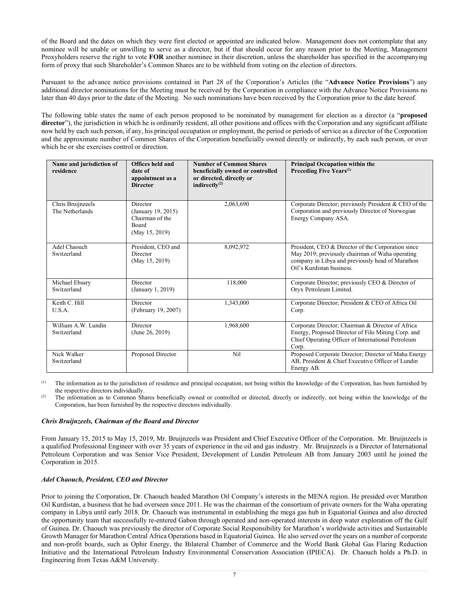of the Board and the dates on which they were first elected or appointed are indicated below. Management does not contemplate that any nominee will be unable or unwilling to serve as a director, but if that should occur for any reason prior to the Meeting, Management Proxyholders reserve the right to vote **FOR** another nominee in their discretion, unless the shareholder has specified in the accompanying form of proxy that such Shareholder's Common Shares are to be withheld from voting on the election of directors.

Pursuant to the advance notice provisions contained in Part 28 of the Corporation's Articles (the "**Advance Notice Provisions**") any additional director nominations for the Meeting must be received by the Corporation in compliance with the Advance Notice Provisions no later than 40 days prior to the date of the Meeting. No such nominations have been received by the Corporation prior to the date hereof.

The following table states the name of each person proposed to be nominated by management for election as a director (a "**proposed**  director"), the jurisdiction in which he is ordinarily resident, all other positions and offices with the Corporation and any significant affiliate now held by each such person, if any, his principal occupation or employment, the period or periods of service as a director of the Corporation and the approximate number of Common Shares of the Corporation beneficially owned directly or indirectly, by each such person, or over which he or she exercises control or direction.

| Name and jurisdiction of<br>residence | Offices held and<br>date of<br>appointment as a<br><b>Director</b>           | <b>Number of Common Shares</b><br>beneficially owned or controlled<br>or directed, directly or<br>indirectly <sup>(2)</sup> | <b>Principal Occupation within the</b><br>Preceding Five Years <sup>(1)</sup>                                                                                                          |
|---------------------------------------|------------------------------------------------------------------------------|-----------------------------------------------------------------------------------------------------------------------------|----------------------------------------------------------------------------------------------------------------------------------------------------------------------------------------|
| Chris Bruijnzeels<br>The Netherlands  | Director<br>(January 19, 2015)<br>Chairman of the<br>Board<br>(May 15, 2019) | 2,063,690                                                                                                                   | Corporate Director; previously President & CEO of the<br>Corporation and previously Director of Norwegian<br>Energy Company ASA.                                                       |
| Adel Chaouch<br>Switzerland           | President, CEO and<br>Director<br>(May 15, 2019)                             | 8,092,972                                                                                                                   | President, CEO & Director of the Corporation since<br>May 2019; previously chairman of Waha operating<br>company in Libya and previously head of Marathon<br>Oil's Kurdistan business. |
| Michael Ebsary<br>Switzerland         | Director<br>(January 1, 2019)                                                | 118,000                                                                                                                     | Corporate Director; previously CEO & Director of<br>Oryx Petroleum Limited.                                                                                                            |
| Keith C. Hill<br>U.S.A.               | Director<br>(February 19, 2007)                                              | 1,343,000                                                                                                                   | Corporate Director; President & CEO of Africa Oil<br>Corp.                                                                                                                             |
| William A.W. Lundin<br>Switzerland    | Director<br>(June 26, 2019)                                                  | 1,968,600                                                                                                                   | Corporate Director; Chairman & Director of Africa<br>Energy, Proposed Director of Filo Mining Corp. and<br>Chief Operating Officer of International Petroleum<br>Corp.                 |
| Nick Walker<br>Switzerland            | Proposed Director                                                            | Nil                                                                                                                         | Proposed Corporate Director; Director of Maha Energy<br>AB, President & Chief Executive Officer of Lundin<br>Energy AB.                                                                |

The information as to the jurisdiction of residence and principal occupation, not being within the knowledge of the Corporation, has been furnished by the respective directors individually.

<sup>(2)</sup> The information as to Common Shares beneficially owned or controlled or directed, directly or indirectly, not being within the knowledge of the Corporation, has been furnished by the respective directors individually.

# *Chris Bruijnzeels, Chairman of the Board and Director*

From January 15, 2015 to May 15, 2019, Mr. Bruijnzeels was President and Chief Executive Officer of the Corporation. Mr. Bruijnzeels is a qualified Professional Engineer with over 35 years of experience in the oil and gas industry. Mr. Bruijnzeels is a Director of International Petroleum Corporation and was Senior Vice President, Development of Lundin Petroleum AB from January 2003 until he joined the Corporation in 2015.

# *Adel Chaouch, President, CEO and Director*

Prior to joining the Corporation, Dr. Chaouch headed Marathon Oil Company's interests in the MENA region. He presided over Marathon Oil Kurdistan, a business that he had overseen since 2011. He was the chairman of the consortium of private owners for the Waha operating company in Libya until early 2018. Dr. Chaouch was instrumental in establishing the mega gas hub in Equatorial Guinea and also directed the opportunity team that successfully re-entered Gabon through operated and non-operated interests in deep water exploration off the Gulf of Guinea. Dr. Chaouch was previously the director of Corporate Social Responsibility for Marathon's worldwide activities and Sustainable Growth Manager for Marathon Central Africa Operations based in Equatorial Guinea. He also served over the years on a number of corporate and non-profit boards, such as Ophir Energy, the Bilateral Chamber of Commerce and the World Bank Global Gas Flaring Reduction Initiative and the International Petroleum Industry Environmental Conservation Association (IPIECA). Dr. Chaouch holds a Ph.D. in Engineering from Texas A&M University.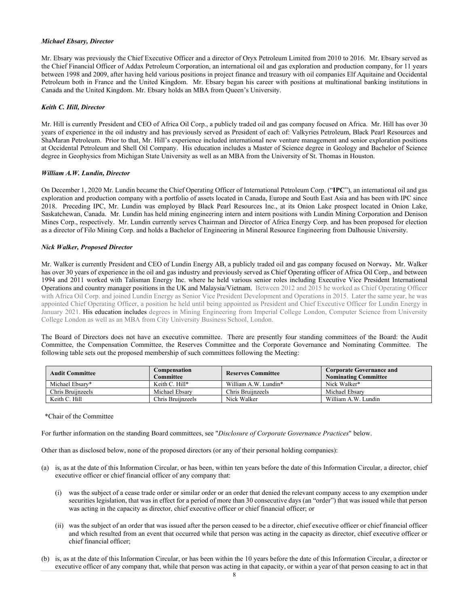#### *Michael Ebsary, Director*

Mr. Ebsary was previously the Chief Executive Officer and a director of Oryx Petroleum Limited from 2010 to 2016. Mr. Ebsary served as the Chief Financial Officer of Addax Petroleum Corporation, an international oil and gas exploration and production company, for 11 years between 1998 and 2009, after having held various positions in project finance and treasury with oil companies Elf Aquitaine and Occidental Petroleum both in France and the United Kingdom. Mr. Ebsary began his career with positions at multinational banking institutions in Canada and the United Kingdom. Mr. Ebsary holds an MBA from Queen's University.

### *Keith C. Hill, Director*

Mr. Hill is currently President and CEO of Africa Oil Corp., a publicly traded oil and gas company focused on Africa. Mr. Hill has over 30 years of experience in the oil industry and has previously served as President of each of: Valkyries Petroleum, Black Pearl Resources and ShaMaran Petroleum. Prior to that, Mr. Hill's experience included international new venture management and senior exploration positions at Occidental Petroleum and Shell Oil Company. His education includes a Master of Science degree in Geology and Bachelor of Science degree in Geophysics from Michigan State University as well as an MBA from the University of St. Thomas in Houston.

## *William A.W. Lundin, Director*

On December 1, 2020 Mr. Lundin became the Chief Operating Officer of International Petroleum Corp. ("**IPC**"), an international oil and gas exploration and production company with a portfolio of assets located in Canada, Europe and South East Asia and has been with IPC since 2018. Preceding IPC, Mr. Lundin was employed by Black Pearl Resources Inc., at its Onion Lake prospect located in Onion Lake, Saskatchewan, Canada. Mr. Lundin has held mining engineering intern and intern positions with Lundin Mining Corporation and Denison Mines Corp., respectively. Mr. Lundin currently serves Chairman and Director of Africa Energy Corp. and has been proposed for election as a director of Filo Mining Corp. and holds a Bachelor of Engineering in Mineral Resource Engineering from Dalhousie University.

### *Nick Walker, Proposed Director*

Mr. Walker is currently President and CEO of Lundin Energy AB, a publicly traded oil and gas company focused on Norway**.** Mr. Walker has over 30 years of experience in the oil and gas industry and previously served as Chief Operating officer of Africa Oil Corp., and between 1994 and 2011 worked with Talisman Energy Inc. where he held various senior roles including Executive Vice President International Operations and country manager positions in the UK and Malaysia/Vietnam. Between 2012 and 2015 he worked as Chief Operating Officer with Africa Oil Corp. and joined Lundin Energy as Senior Vice President Development and Operations in 2015. Later the same year, he was appointed Chief Operating Officer, a position he held until being appointed as President and Chief Executive Officer for Lundin Energy in January 2021. His education includes degrees in Mining Engineering from Imperial College London, Computer Science from University College London as well as an MBA from City University Business School, London.

The Board of Directors does not have an executive committee. There are presently four standing committees of the Board: the Audit Committee, the Compensation Committee, the Reserves Committee and the Corporate Governance and Nominating Committee. The following table sets out the proposed membership of such committees following the Meeting:

| <b>Audit Committee</b> | Compensation<br>Committee | <b>Reserves Committee</b> | <b>Corporate Governance and</b><br><b>Nominating Committee</b> |
|------------------------|---------------------------|---------------------------|----------------------------------------------------------------|
| Michael Ebsary*        | Keith C. Hill*            | William A.W. Lundin*      | Nick Walker*                                                   |
| Chris Bruiinzeels      | Michael Ebsary            | Chris Bruinzeels          | Michael Ebsary                                                 |
| Keith C. Hill          | Chris Bruiinzeels         | Nick Walker               | William A.W. Lundin                                            |

\*Chair of the Committee

For further information on the standing Board committees, see "*Disclosure of Corporate Governance Practices*" below.

Other than as disclosed below, none of the proposed directors (or any of their personal holding companies):

- (a) is, as at the date of this Information Circular, or has been, within ten years before the date of this Information Circular, a director, chief executive officer or chief financial officer of any company that:
	- (i) was the subject of a cease trade order or similar order or an order that denied the relevant company access to any exemption under securities legislation, that was in effect for a period of more than 30 consecutive days (an "order") that was issued while that person was acting in the capacity as director, chief executive officer or chief financial officer; or
	- (ii) was the subject of an order that was issued after the person ceased to be a director, chief executive officer or chief financial officer and which resulted from an event that occurred while that person was acting in the capacity as director, chief executive officer or chief financial officer;
- (b) is, as at the date of this Information Circular, or has been within the 10 years before the date of this Information Circular, a director or executive officer of any company that, while that person was acting in that capacity, or within a year of that person ceasing to act in that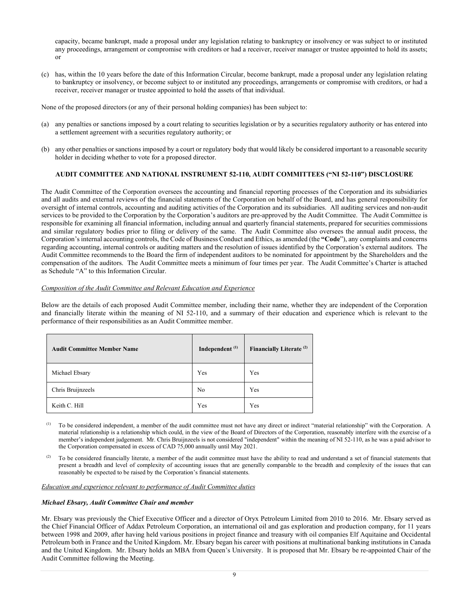capacity, became bankrupt, made a proposal under any legislation relating to bankruptcy or insolvency or was subject to or instituted any proceedings, arrangement or compromise with creditors or had a receiver, receiver manager or trustee appointed to hold its assets; or

(c) has, within the 10 years before the date of this Information Circular, become bankrupt, made a proposal under any legislation relating to bankruptcy or insolvency, or become subject to or instituted any proceedings, arrangements or compromise with creditors, or had a receiver, receiver manager or trustee appointed to hold the assets of that individual.

None of the proposed directors (or any of their personal holding companies) has been subject to:

- (a) any penalties or sanctions imposed by a court relating to securities legislation or by a securities regulatory authority or has entered into a settlement agreement with a securities regulatory authority; or
- (b) any other penalties or sanctions imposed by a court or regulatory body that would likely be considered important to a reasonable security holder in deciding whether to vote for a proposed director.

# **AUDIT COMMITTEE AND NATIONAL INSTRUMENT 52-110, AUDIT COMMITTEES ("NI 52-110") DISCLOSURE**

The Audit Committee of the Corporation oversees the accounting and financial reporting processes of the Corporation and its subsidiaries and all audits and external reviews of the financial statements of the Corporation on behalf of the Board, and has general responsibility for oversight of internal controls, accounting and auditing activities of the Corporation and its subsidiaries. All auditing services and non-audit services to be provided to the Corporation by the Corporation's auditors are pre-approved by the Audit Committee. The Audit Committee is responsible for examining all financial information, including annual and quarterly financial statements, prepared for securities commissions and similar regulatory bodies prior to filing or delivery of the same. The Audit Committee also oversees the annual audit process, the Corporation's internal accounting controls, the Code of Business Conduct and Ethics, as amended (the **"Code**"), any complaints and concerns regarding accounting, internal controls or auditing matters and the resolution of issues identified by the Corporation's external auditors. The Audit Committee recommends to the Board the firm of independent auditors to be nominated for appointment by the Shareholders and the compensation of the auditors. The Audit Committee meets a minimum of four times per year. The Audit Committee's Charter is attached as Schedule "A" to this Information Circular.

# *Composition of the Audit Committee and Relevant Education and Experience*

Below are the details of each proposed Audit Committee member, including their name, whether they are independent of the Corporation and financially literate within the meaning of NI 52-110, and a summary of their education and experience which is relevant to the performance of their responsibilities as an Audit Committee member.

| <b>Audit Committee Member Name</b> | Independent <sup>(1)</sup> | Financially Literate <sup>(2)</sup> |
|------------------------------------|----------------------------|-------------------------------------|
| Michael Ebsary                     | Yes                        | Yes                                 |
| Chris Bruijnzeels                  | N <sub>o</sub>             | Yes                                 |
| Keith C. Hill                      | Yes                        | Yes                                 |

(1) To be considered independent, a member of the audit committee must not have any direct or indirect "material relationship" with the Corporation. A material relationship is a relationship which could, in the view of the Board of Directors of the Corporation, reasonably interfere with the exercise of a member's independent judgement. Mr. Chris Bruijnzeels is not considered "independent" within the meaning of NI 52-110, as he was a paid advisor to the Corporation compensated in excess of CAD 75,000 annually until May 2021.

(2) To be considered financially literate, a member of the audit committee must have the ability to read and understand a set of financial statements that present a breadth and level of complexity of accounting issues that are generally comparable to the breadth and complexity of the issues that can reasonably be expected to be raised by the Corporation's financial statements.

#### *Education and experience relevant to performance of Audit Committee duties*

#### *Michael Ebsary, Audit Committee Chair and member*

Mr. Ebsary was previously the Chief Executive Officer and a director of Oryx Petroleum Limited from 2010 to 2016. Mr. Ebsary served as the Chief Financial Officer of Addax Petroleum Corporation, an international oil and gas exploration and production company, for 11 years between 1998 and 2009, after having held various positions in project finance and treasury with oil companies Elf Aquitaine and Occidental Petroleum both in France and the United Kingdom. Mr. Ebsary began his career with positions at multinational banking institutions in Canada and the United Kingdom. Mr. Ebsary holds an MBA from Queen's University. It is proposed that Mr. Ebsary be re-appointed Chair of the Audit Committee following the Meeting.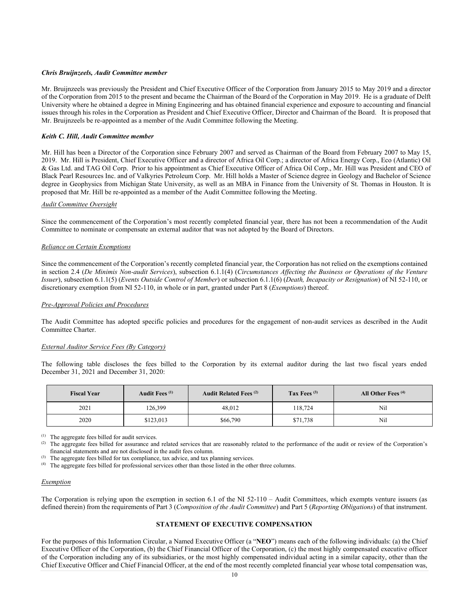#### *Chris Bruijnzeels, Audit Committee member*

Mr. Bruijnzeels was previously the President and Chief Executive Officer of the Corporation from January 2015 to May 2019 and a director of the Corporation from 2015 to the present and became the Chairman of the Board of the Corporation in May 2019. He is a graduate of Delft University where he obtained a degree in Mining Engineering and has obtained financial experience and exposure to accounting and financial issues through his roles in the Corporation as President and Chief Executive Officer, Director and Chairman of the Board. It is proposed that Mr. Bruijnzeels be re-appointed as a member of the Audit Committee following the Meeting.

### *Keith C. Hill, Audit Committee member*

Mr. Hill has been a Director of the Corporation since February 2007 and served as Chairman of the Board from February 2007 to May 15, 2019. Mr. Hill is President, Chief Executive Officer and a director of Africa Oil Corp.; a director of Africa Energy Corp., Eco (Atlantic) Oil & Gas Ltd. and TAG Oil Corp. Prior to his appointment as Chief Executive Officer of Africa Oil Corp., Mr. Hill was President and CEO of Black Pearl Resources Inc. and of Valkyries Petroleum Corp. Mr. Hill holds a Master of Science degree in Geology and Bachelor of Science degree in Geophysics from Michigan State University, as well as an MBA in Finance from the University of St. Thomas in Houston. It is proposed that Mr. Hill be re-appointed as a member of the Audit Committee following the Meeting.

### *Audit Committee Oversight*

Since the commencement of the Corporation's most recently completed financial year, there has not been a recommendation of the Audit Committee to nominate or compensate an external auditor that was not adopted by the Board of Directors.

### *Reliance on Certain Exemptions*

Since the commencement of the Corporation's recently completed financial year, the Corporation has not relied on the exemptions contained in section 2.4 (*De Minimis Non-audit Services*), subsection 6.1.1(4) (*Circumstances Affecting the Business or Operations of the Venture Issuer*), subsection 6.1.1(5) (*Events Outside Control of Member*) or subsection 6.1.1(6) (*Death, Incapacity or Resignation*) of NI 52-110, or discretionary exemption from NI 52-110, in whole or in part, granted under Part 8 (*Exemptions*) thereof.

#### *Pre-Approval Policies and Procedures*

The Audit Committee has adopted specific policies and procedures for the engagement of non-audit services as described in the Audit Committee Charter.

#### *External Auditor Service Fees (By Category)*

The following table discloses the fees billed to the Corporation by its external auditor during the last two fiscal years ended December 31, 2021 and December 31, 2020:

| <b>Fiscal Year</b> | Audit Fees <sup>(1)</sup> | Audit Related Fees <sup>(2)</sup> | Tax Fees $(3)$ | All Other Fees <sup>(4)</sup> |
|--------------------|---------------------------|-----------------------------------|----------------|-------------------------------|
| 2021               | 126,399                   | 48,012                            | 118,724        | Nil                           |
| 2020               | \$123,013                 | \$66,790                          | \$71,738       | Nil                           |

(1) The aggregate fees billed for audit services.

(2) The aggregate fees billed for assurance and related services that are reasonably related to the performance of the audit or review of the Corporation's financial statements and are not disclosed in the audit fees column.

(3) The aggregate fees billed for tax compliance, tax advice, and tax planning services.

(4) The aggregate fees billed for professional services other than those listed in the other three columns.

#### *Exemption*

The Corporation is relying upon the exemption in section 6.1 of the NI 52-110 – Audit Committees, which exempts venture issuers (as defined therein) from the requirements of Part 3 (*Composition of the Audit Committee*) and Part 5 (*Reporting Obligations*) of that instrument.

# **STATEMENT OF EXECUTIVE COMPENSATION**

For the purposes of this Information Circular, a Named Executive Officer (a "**NEO**") means each of the following individuals: (a) the Chief Executive Officer of the Corporation, (b) the Chief Financial Officer of the Corporation, (c) the most highly compensated executive officer of the Corporation including any of its subsidiaries, or the most highly compensated individual acting in a similar capacity, other than the Chief Executive Officer and Chief Financial Officer, at the end of the most recently completed financial year whose total compensation was,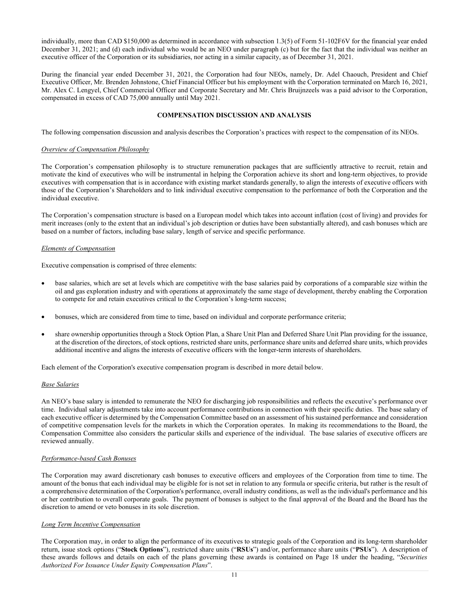individually, more than CAD \$150,000 as determined in accordance with subsection 1.3(5) of Form 51-102F6V for the financial year ended December 31, 2021; and (d) each individual who would be an NEO under paragraph (c) but for the fact that the individual was neither an executive officer of the Corporation or its subsidiaries, nor acting in a similar capacity, as of December 31, 2021.

During the financial year ended December 31, 2021, the Corporation had four NEOs, namely, Dr. Adel Chaouch, President and Chief Executive Officer, Mr. Brenden Johnstone, Chief Financial Officer but his employment with the Corporation terminated on March 16, 2021, Mr. Alex C. Lengyel, Chief Commercial Officer and Corporate Secretary and Mr. Chris Bruijnzeels was a paid advisor to the Corporation, compensated in excess of CAD 75,000 annually until May 2021.

## **COMPENSATION DISCUSSION AND ANALYSIS**

The following compensation discussion and analysis describes the Corporation's practices with respect to the compensation of its NEOs.

#### *Overview of Compensation Philosophy*

The Corporation's compensation philosophy is to structure remuneration packages that are sufficiently attractive to recruit, retain and motivate the kind of executives who will be instrumental in helping the Corporation achieve its short and long-term objectives, to provide executives with compensation that is in accordance with existing market standards generally, to align the interests of executive officers with those of the Corporation's Shareholders and to link individual executive compensation to the performance of both the Corporation and the individual executive.

The Corporation's compensation structure is based on a European model which takes into account inflation (cost of living) and provides for merit increases (only to the extent that an individual's job description or duties have been substantially altered), and cash bonuses which are based on a number of factors, including base salary, length of service and specific performance.

### *Elements of Compensation*

Executive compensation is comprised of three elements:

- base salaries, which are set at levels which are competitive with the base salaries paid by corporations of a comparable size within the oil and gas exploration industry and with operations at approximately the same stage of development, thereby enabling the Corporation to compete for and retain executives critical to the Corporation's long-term success;
- bonuses, which are considered from time to time, based on individual and corporate performance criteria;
- share ownership opportunities through a Stock Option Plan, a Share Unit Plan and Deferred Share Unit Plan providing for the issuance, at the discretion of the directors, of stock options, restricted share units, performance share units and deferred share units, which provides additional incentive and aligns the interests of executive officers with the longer-term interests of shareholders.

Each element of the Corporation's executive compensation program is described in more detail below.

#### *Base Salaries*

An NEO's base salary is intended to remunerate the NEO for discharging job responsibilities and reflects the executive's performance over time. Individual salary adjustments take into account performance contributions in connection with their specific duties. The base salary of each executive officer is determined by the Compensation Committee based on an assessment of his sustained performance and consideration of competitive compensation levels for the markets in which the Corporation operates. In making its recommendations to the Board, the Compensation Committee also considers the particular skills and experience of the individual. The base salaries of executive officers are reviewed annually.

#### *Performance-based Cash Bonuses*

The Corporation may award discretionary cash bonuses to executive officers and employees of the Corporation from time to time. The amount of the bonus that each individual may be eligible for is not set in relation to any formula or specific criteria, but rather is the result of a comprehensive determination of the Corporation's performance, overall industry conditions, as well as the individual's performance and his or her contribution to overall corporate goals. The payment of bonuses is subject to the final approval of the Board and the Board has the discretion to amend or veto bonuses in its sole discretion.

# *Long Term Incentive Compensation*

The Corporation may, in order to align the performance of its executives to strategic goals of the Corporation and its long-term shareholder return, issue stock options ("**Stock Options**"), restricted share units ("**RSUs**") and/or, performance share units ("**PSUs**"). A description of these awards follows and details on each of the plans governing these awards is contained on Page 18 under the heading, "*Securities Authorized For Issuance Under Equity Compensation Plans*".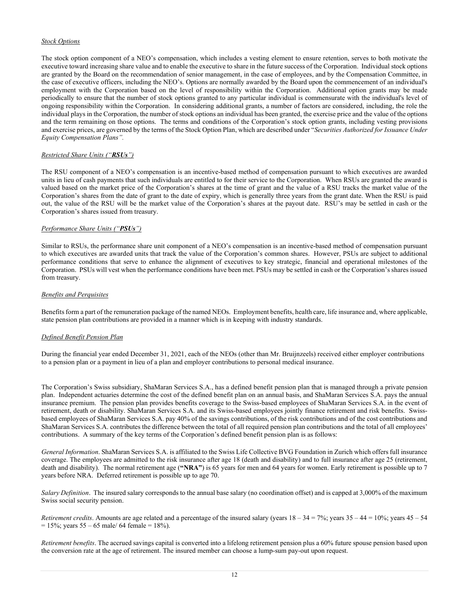# *Stock Options*

The stock option component of a NEO's compensation, which includes a vesting element to ensure retention, serves to both motivate the executive toward increasing share value and to enable the executive to share in the future success of the Corporation. Individual stock options are granted by the Board on the recommendation of senior management, in the case of employees, and by the Compensation Committee, in the case of executive officers, including the NEO's. Options are normally awarded by the Board upon the commencement of an individual's employment with the Corporation based on the level of responsibility within the Corporation. Additional option grants may be made periodically to ensure that the number of stock options granted to any particular individual is commensurate with the individual's level of ongoing responsibility within the Corporation. In considering additional grants, a number of factors are considered, including, the role the individual plays in the Corporation, the number of stock options an individual has been granted, the exercise price and the value of the options and the term remaining on those options. The terms and conditions of the Corporation's stock option grants, including vesting provisions and exercise prices, are governed by the terms of the Stock Option Plan, which are described under "*Securities Authorized for Issuance Under Equity Compensation Plans".*

# *Restricted Share Units ("RSUs")*

The RSU component of a NEO's compensation is an incentive-based method of compensation pursuant to which executives are awarded units in lieu of cash payments that such individuals are entitled to for their service to the Corporation. When RSUs are granted the award is valued based on the market price of the Corporation's shares at the time of grant and the value of a RSU tracks the market value of the Corporation's shares from the date of grant to the date of expiry, which is generally three years from the grant date. When the RSU is paid out, the value of the RSU will be the market value of the Corporation's shares at the payout date. RSU's may be settled in cash or the Corporation's shares issued from treasury.

# *Performance Share Units ("PSUs")*

Similar to RSUs, the performance share unit component of a NEO's compensation is an incentive-based method of compensation pursuant to which executives are awarded units that track the value of the Corporation's common shares. However, PSUs are subject to additional performance conditions that serve to enhance the alignment of executives to key strategic, financial and operational milestones of the Corporation. PSUs will vest when the performance conditions have been met. PSUs may be settled in cash or the Corporation's shares issued from treasury.

# *Benefits and Perquisites*

Benefits form a part of the remuneration package of the named NEOs. Employment benefits, health care, life insurance and, where applicable, state pension plan contributions are provided in a manner which is in keeping with industry standards.

# *Defined Benefit Pension Plan*

During the financial year ended December 31, 2021, each of the NEOs (other than Mr. Bruijnzeels) received either employer contributions to a pension plan or a payment in lieu of a plan and employer contributions to personal medical insurance.

The Corporation's Swiss subsidiary, ShaMaran Services S.A., has a defined benefit pension plan that is managed through a private pension plan. Independent actuaries determine the cost of the defined benefit plan on an annual basis, and ShaMaran Services S.A. pays the annual insurance premium. The pension plan provides benefits coverage to the Swiss-based employees of ShaMaran Services S.A. in the event of retirement, death or disability. ShaMaran Services S.A. and its Swiss-based employees jointly finance retirement and risk benefits. Swissbased employees of ShaMaran Services S.A. pay 40% of the savings contributions, of the risk contributions and of the cost contributions and ShaMaran Services S.A. contributes the difference between the total of all required pension plan contributions and the total of all employees' contributions. A summary of the key terms of the Corporation's defined benefit pension plan is as follows:

*General Information*. ShaMaran Services S.A. is affiliated to the Swiss Life Collective BVG Foundation in Zurich which offers full insurance coverage. The employees are admitted to the risk insurance after age 18 (death and disability) and to full insurance after age 25 (retirement, death and disability). The normal retirement age (**"NRA"**) is 65 years for men and 64 years for women. Early retirement is possible up to 7 years before NRA. Deferred retirement is possible up to age 70.

*Salary Definition*. The insured salary corresponds to the annual base salary (no coordination offset) and is capped at 3,000% of the maximum Swiss social security pension.

*Retirement credits*. Amounts are age related and a percentage of the insured salary (years 18 – 34 = 7%; years 35 – 44 = 10%; years 45 – 54  $= 15\%$ ; years 55 – 65 male/ 64 female = 18%).

*Retirement benefits*. The accrued savings capital is converted into a lifelong retirement pension plus a 60% future spouse pension based upon the conversion rate at the age of retirement. The insured member can choose a lump-sum pay-out upon request.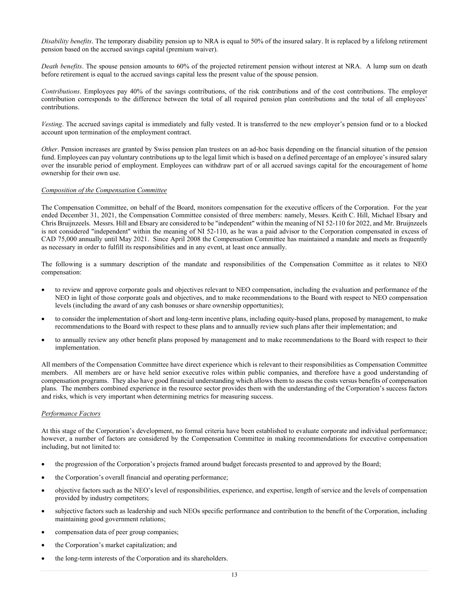*Disability benefits*. The temporary disability pension up to NRA is equal to 50% of the insured salary. It is replaced by a lifelong retirement pension based on the accrued savings capital (premium waiver).

*Death benefits*. The spouse pension amounts to 60% of the projected retirement pension without interest at NRA. A lump sum on death before retirement is equal to the accrued savings capital less the present value of the spouse pension.

*Contributions*. Employees pay 40% of the savings contributions, of the risk contributions and of the cost contributions. The employer contribution corresponds to the difference between the total of all required pension plan contributions and the total of all employees' contributions.

*Vesting*. The accrued savings capital is immediately and fully vested. It is transferred to the new employer's pension fund or to a blocked account upon termination of the employment contract.

*Other*. Pension increases are granted by Swiss pension plan trustees on an ad-hoc basis depending on the financial situation of the pension fund. Employees can pay voluntary contributions up to the legal limit which is based on a defined percentage of an employee's insured salary over the insurable period of employment. Employees can withdraw part of or all accrued savings capital for the encouragement of home ownership for their own use.

## *Composition of the Compensation Committee*

The Compensation Committee, on behalf of the Board, monitors compensation for the executive officers of the Corporation. For the year ended December 31, 2021, the Compensation Committee consisted of three members: namely, Messrs. Keith C. Hill, Michael Ebsary and Chris Bruijnzeels. Messrs. Hill and Ebsary are considered to be "independent" within the meaning of NI 52-110 for 2022, and Mr. Bruijnzeels is not considered "independent" within the meaning of NI 52-110, as he was a paid advisor to the Corporation compensated in excess of CAD 75,000 annually until May 2021. Since April 2008 the Compensation Committee has maintained a mandate and meets as frequently as necessary in order to fulfill its responsibilities and in any event, at least once annually.

The following is a summary description of the mandate and responsibilities of the Compensation Committee as it relates to NEO compensation:

- to review and approve corporate goals and objectives relevant to NEO compensation, including the evaluation and performance of the NEO in light of those corporate goals and objectives, and to make recommendations to the Board with respect to NEO compensation levels (including the award of any cash bonuses or share ownership opportunities);
- to consider the implementation of short and long-term incentive plans, including equity-based plans, proposed by management, to make recommendations to the Board with respect to these plans and to annually review such plans after their implementation; and
- to annually review any other benefit plans proposed by management and to make recommendations to the Board with respect to their implementation.

All members of the Compensation Committee have direct experience which is relevant to their responsibilities as Compensation Committee members. All members are or have held senior executive roles within public companies, and therefore have a good understanding of compensation programs. They also have good financial understanding which allows them to assess the costs versus benefits of compensation plans. The members combined experience in the resource sector provides them with the understanding of the Corporation's success factors and risks, which is very important when determining metrics for measuring success.

#### *Performance Factors*

At this stage of the Corporation's development, no formal criteria have been established to evaluate corporate and individual performance; however, a number of factors are considered by the Compensation Committee in making recommendations for executive compensation including, but not limited to:

- the progression of the Corporation's projects framed around budget forecasts presented to and approved by the Board;
- the Corporation's overall financial and operating performance;
- objective factors such as the NEO's level of responsibilities, experience, and expertise, length of service and the levels of compensation provided by industry competitors;
- subjective factors such as leadership and such NEOs specific performance and contribution to the benefit of the Corporation, including maintaining good government relations;
- compensation data of peer group companies;
- the Corporation's market capitalization; and
- the long-term interests of the Corporation and its shareholders.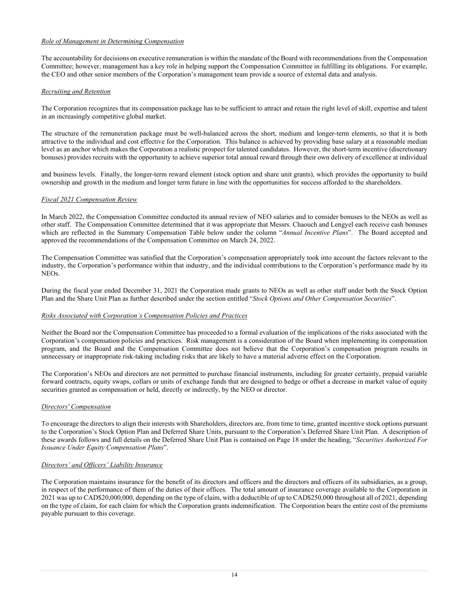# *Role of Management in Determining Compensation*

The accountability for decisions on executive remuneration is within the mandate of the Board with recommendations from the Compensation Committee; however, management has a key role in helping support the Compensation Committee in fulfilling its obligations. For example, the CEO and other senior members of the Corporation's management team provide a source of external data and analysis.

# *Recruiting and Retention*

The Corporation recognizes that its compensation package has to be sufficient to attract and retain the right level of skill, expertise and talent in an increasingly competitive global market.

The structure of the remuneration package must be well-balanced across the short, medium and longer-term elements, so that it is both attractive to the individual and cost effective for the Corporation. This balance is achieved by providing base salary at a reasonable median level as an anchor which makes the Corporation a realistic prospect for talented candidates. However, the short-term incentive (discretionary bonuses) provides recruits with the opportunity to achieve superior total annual reward through their own delivery of excellence at individual

and business levels. Finally, the longer-term reward element (stock option and share unit grants), which provides the opportunity to build ownership and growth in the medium and longer term future in line with the opportunities for success afforded to the shareholders.

# *Fiscal 2021 Compensation Review*

In March 2022, the Compensation Committee conducted its annual review of NEO salaries and to consider bonuses to the NEOs as well as other staff. The Compensation Committee determined that it was appropriate that Messrs. Chaouch and Lengyel each receive cash bonuses which are reflected in the Summary Compensation Table below under the column "*Annual Incentive Plans*". The Board accepted and approved the recommendations of the Compensation Committee on March 24, 2022.

The Compensation Committee was satisfied that the Corporation's compensation appropriately took into account the factors relevant to the industry, the Corporation's performance within that industry, and the individual contributions to the Corporation's performance made by its NEOs.

During the fiscal year ended December 31, 2021 the Corporation made grants to NEOs as well as other staff under both the Stock Option Plan and the Share Unit Plan as further described under the section entitled "*Stock Options and Other Compensation Securities*".

# *Risks Associated with Corporation's Compensation Policies and Practices*

Neither the Board nor the Compensation Committee has proceeded to a formal evaluation of the implications of the risks associated with the Corporation's compensation policies and practices. Risk management is a consideration of the Board when implementing its compensation program, and the Board and the Compensation Committee does not believe that the Corporation's compensation program results in unnecessary or inappropriate risk-taking including risks that are likely to have a material adverse effect on the Corporation.

The Corporation's NEOs and directors are not permitted to purchase financial instruments, including for greater certainty, prepaid variable forward contracts, equity swaps, collars or units of exchange funds that are designed to hedge or offset a decrease in market value of equity securities granted as compensation or held, directly or indirectly, by the NEO or director.

# *Directors' Compensation*

To encourage the directors to align their interests with Shareholders, directors are, from time to time, granted incentive stock options pursuant to the Corporation's Stock Option Plan and Deferred Share Units, pursuant to the Corporation's Deferred Share Unit Plan. A description of these awards follows and full details on the Deferred Share Unit Plan is contained on Page 18 under the heading, "*Securities Authorized For Issuance Under Equity Compensation Plans*".

# *Directors' and Officers' Liability Insurance*

The Corporation maintains insurance for the benefit of its directors and officers and the directors and officers of its subsidiaries, as a group, in respect of the performance of them of the duties of their offices. The total amount of insurance coverage available to the Corporation in 2021 was up to CAD\$20,000,000, depending on the type of claim, with a deductible of up to CAD\$250,000 throughout all of 2021, depending on the type of claim, for each claim for which the Corporation grants indemnification. The Corporation bears the entire cost of the premiums payable pursuant to this coverage.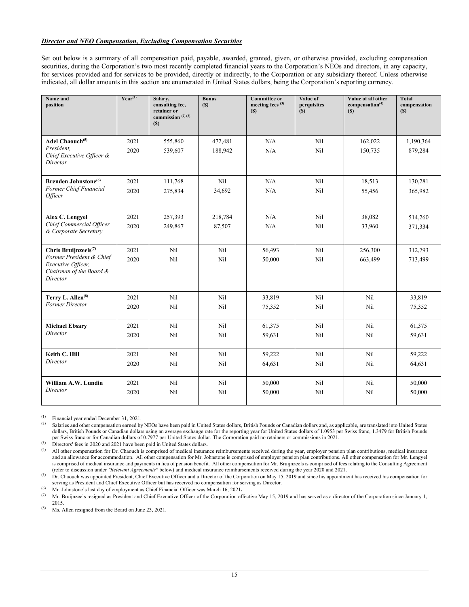# *Director and NEO Compensation, Excluding Compensation Securities*

Set out below is a summary of all compensation paid, payable, awarded, granted, given, or otherwise provided, excluding compensation securities, during the Corporation's two most recently completed financial years to the Corporation's NEOs and directors, in any capacity, for services provided and for services to be provided, directly or indirectly, to the Corporation or any subsidiary thereof. Unless otherwise indicated, all dollar amounts in this section are enumerated in United States dollars, being the Corporation's reporting currency.

| Name and<br>position                                                                                                      | $Year^{(1)}$ | Salary,<br>consulting fee,<br>retainer or<br>commission $(2)$ $(3)$<br>(S) | <b>Bonus</b><br>(S) | <b>Committee or</b><br>meeting fees $(3)$<br>(S) | Value of<br>perquisites<br>(S) | Value of all other<br>compensation <sup>(4)</sup><br>(S) | <b>Total</b><br>compensation<br>(S) |
|---------------------------------------------------------------------------------------------------------------------------|--------------|----------------------------------------------------------------------------|---------------------|--------------------------------------------------|--------------------------------|----------------------------------------------------------|-------------------------------------|
| Adel Chaouch <sup>(5)</sup><br>President,<br>Chief Executive Officer &<br>Director                                        | 2021<br>2020 | 555,860<br>539,607                                                         | 472,481<br>188,942  | N/A<br>N/A                                       | N <sub>il</sub><br>Nil         | 162,022<br>150,735                                       | 1,190,364<br>879,284                |
| <b>Brenden Johnstone</b> <sup>(6)</sup><br>Former Chief Financial<br><i><b>Officer</b></i>                                | 2021<br>2020 | 111,768<br>275,834                                                         | Nil<br>34,692       | N/A<br>N/A                                       | Nil<br>Nil                     | 18,513<br>55,456                                         | 130,281<br>365,982                  |
| Alex C. Lengyel<br>Chief Commercial Officer<br>& Corporate Secretary                                                      | 2021<br>2020 | 257,393<br>249,867                                                         | 218,784<br>87,507   | N/A<br>N/A                                       | Nil<br>Nil                     | 38,082<br>33,960                                         | 514,260<br>371,334                  |
| Chris Bruijnzeels <sup>(7)</sup><br>Former President & Chief<br>Executive Officer,<br>Chairman of the Board &<br>Director | 2021<br>2020 | N <sub>il</sub><br>Nil                                                     | Nil<br>Nil          | 56,493<br>50,000                                 | N <sub>il</sub><br>Nil         | 256,300<br>663,499                                       | 312,793<br>713,499                  |
| Terry L. Allen <sup>(8)</sup><br>Former Director                                                                          | 2021<br>2020 | Nil<br>Nil                                                                 | Nil<br>Nil          | 33,819<br>75,352                                 | Nil<br>Nil                     | Nil<br>Nil                                               | 33,819<br>75,352                    |
| <b>Michael Ebsary</b><br>Director                                                                                         | 2021<br>2020 | Nil<br>N <sub>il</sub>                                                     | Nil<br>Nil          | 61,375<br>59,631                                 | Nil<br>N <sub>il</sub>         | Nil<br>Nil                                               | 61,375<br>59,631                    |
| Keith C. Hill<br>Director                                                                                                 | 2021<br>2020 | Nil<br>Nil                                                                 | Nil<br>Nil          | 59,222<br>64,631                                 | Nil<br>Nil                     | Nil<br>Nil                                               | 59,222<br>64,631                    |
| William A.W. Lundin<br>Director                                                                                           | 2021<br>2020 | N <sub>il</sub><br>Nil                                                     | Nil<br>Nil          | 50,000<br>50,000                                 | N <sub>il</sub><br>Nil         | N <sub>il</sub><br>Nil                                   | 50,000<br>50,000                    |

(1) Financial year ended December 31, 2021.<br>(2) Solaries and other componential period by

Salaries and other compensation earned by NEOs have been paid in United States dollars, British Pounds or Canadian dollars and, as applicable, are translated into United States dollars, British Pounds or Canadian dollars using an average exchange rate for the reporting year for United States dollars of 1.0953 per Swiss franc, 1.3479 for British Pounds per Swiss franc or for Canadian dollars of 0.7977 per United States dollar. The Corporation paid no retainers or commissions in 2021.

 $^{(3)}$  Directors' fees in 2020 and 2021 have been paid in United States dollars.

All other compensation for Dr. Chaouch is comprised of medical insurance reimbursements received during the year, employer pension plan contributions, medical insurance and an allowance for accommodation. All other compensation for Mr. Johnstone is comprised of employer pension plan contributions. All other compensation for Mr. Lengyel is comprised of medical insurance and payments in lieu of pension benefit. All other compensation for Mr. Bruijnzeels is comprised of fees relating to the Consulting Agreement (refer to discussion under *"Relevant Agreements"* below) and medical insurance reimbursements received during the year 2020 and 2021.

<sup>(5)</sup> Dr. Chaouch was appointed President, Chief Executive Officer and a Director of the Corporation on May 15, 2019 and since his appointment has received his compensation for serving as President and Chief Executive Officer but has received no compensation for serving as Director.

(6) Mr. Johnstone's last day of employment as Chief Financial Officer was March 16, 2021.<br>(7) Mr. Bruijnzeels resigned as President and Chief Executive Officer of the Corporation of

(7) Mr. Bruijnzeels resigned as President and Chief Executive Officer of the Corporation effective May 15, 2019 and has served as a director of the Corporation since January 1, 2015.

(8) Ms. Allen resigned from the Board on June 23, 2021.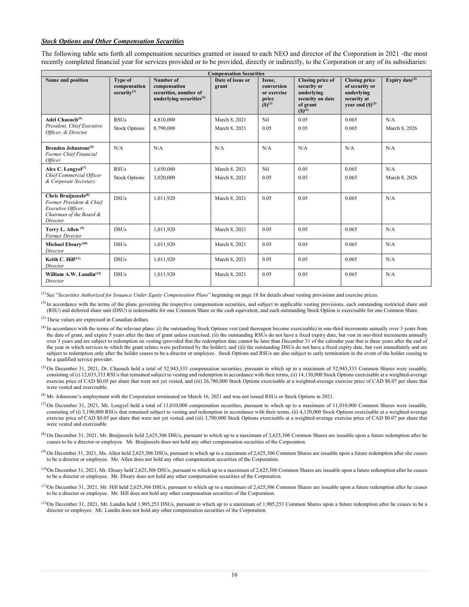## *Stock Options and Other Compensation Securities*

The following table sets forth all compensation securities granted or issued to each NEO and director of the Corporation in 2021 -the most recently completed financial year for services provided or to be provided, directly or indirectly, to the Corporation or any of its subsidiaries:

|                                                                                                                           |                                                           |                                                                                      | <b>Compensation Securities</b> |                                                             |                                                                                              |                                                                                             |                      |
|---------------------------------------------------------------------------------------------------------------------------|-----------------------------------------------------------|--------------------------------------------------------------------------------------|--------------------------------|-------------------------------------------------------------|----------------------------------------------------------------------------------------------|---------------------------------------------------------------------------------------------|----------------------|
| Name and position                                                                                                         | <b>Type of</b><br>compensation<br>security <sup>(1)</sup> | Number of<br>compensation<br>securities, number of<br>underlying securities $^{(2)}$ | Date of issue or<br>grant      | Issue,<br>conversion<br>or exercise<br>price<br>$(S)^{(3)}$ | Closing price of<br>security or<br>underlying<br>security on date<br>of grant<br>$(S)^{(3)}$ | <b>Closing price</b><br>of security or<br>underlying<br>security at<br>year end $(S)^{(3)}$ | Expiry date $(4)$    |
| Adel Chaouch <sup>(5)</sup><br>President, Chief Executive<br>Officer, & Director                                          | <b>RSUs</b><br><b>Stock Options</b>                       | 4,810,000<br>8,790,000                                                               | March 8, 2021<br>March 8, 2021 | Nil<br>0.05                                                 | 0.05<br>0.05                                                                                 | 0.065<br>0.065                                                                              | N/A<br>March 8, 2026 |
| Brenden Johnstone <sup>(6)</sup><br>Former Chief Financial<br><i>Officer</i>                                              | N/A                                                       | N/A                                                                                  | N/A                            | N/A                                                         | N/A                                                                                          | N/A                                                                                         | N/A                  |
| Alex C. Lengyel <sup>(7)</sup><br>Chief Commercial Officer<br>& Corporate Secretary                                       | <b>RSUs</b><br><b>Stock Options</b>                       | 1,650,000<br>3,020,000                                                               | March 8, 2021<br>March 8, 2021 | Nil<br>0.05                                                 | 0.05<br>0.05                                                                                 | 0.065<br>0.065                                                                              | N/A<br>March 8, 2026 |
| Chris Bruijnzeels <sup>(8)</sup><br>Former President & Chief<br>Executive Officer,<br>Chairman of the Board &<br>Director | <b>DSUs</b>                                               | 1,011,920                                                                            | March 8, 2021                  | 0.05                                                        | 0.05                                                                                         | 0.065                                                                                       | N/A                  |
| Terry L. Allen <sup>(9)</sup><br>Former Director                                                                          | <b>DSUs</b>                                               | 1,011,920                                                                            | March 8, 2021                  | 0.05                                                        | 0.05                                                                                         | 0.065                                                                                       | N/A                  |
| Michael Ebsary <sup>(10)</sup><br>Director                                                                                | <b>DSUs</b>                                               | 1,011,920                                                                            | March 8, 2021                  | 0.05                                                        | 0.05                                                                                         | 0.065                                                                                       | N/A                  |
| Keith C. Hill(11)<br>Director                                                                                             | <b>DSUs</b>                                               | 1,011,920                                                                            | March 8, 2021                  | 0.05                                                        | 0.05                                                                                         | 0.065                                                                                       | N/A                  |
| William A.W. Lundin $(12)$<br>Director                                                                                    | <b>DSUs</b>                                               | 1.011.920                                                                            | March 8, 2021                  | 0.05                                                        | 0.05                                                                                         | 0.065                                                                                       | N/A                  |

(1) See "*Securities Authorized for Issuance Under Equity Compensation Plans*" beginning on page 18 for details about vesting provisions and exercise prices.

 $<sup>(2)</sup>$  In accordance with the terms of the plans governing the respective compensation securities, and subject to applicable vesting provisions, each outstanding restricted share unit</sup> (RSU) and deferred share unit (DSU) is redeemable for one Common Share or the cash equivalent, and each outstanding Stock Option is exercisable for one Common Share.

(3) These values are expressed in Canadian dollars.

- (4) In accordance with the terms of the relevant plans: (i) the outstanding Stock Options vest (and thereupon become exercisable) in one-third increments annually over 3 years from the date of grant, and expire 5 years after the date of grant unless exercised; (ii) the outstanding RSUs do not have a fixed expiry date, but vest in one-third increments annually over 3 years and are subject to redemption on vesting (provided that the redemption date cannot be later than December 31 of the calendar year that is three years after the end of the year in which services to which the grant relates were performed by the holder); and (iii) the outstanding DSUs do not have a fixed expiry date, but vest immediately and are subject to redemption only after the holder ceases to be a director or employee. Stock Options and RSUs are also subject to early termination in the event of the holder ceasing to be a qualified service provider.
- (5) On December 31, 2021, Dr. Chaouch held a total of 52,943,333 compensation securities, pursuant to which up to a maximum of 52,943,333 Common Shares were issuable, consisting of (i) 12,033,333 RSUs that remained subject to vesting and redemption in accordance with their terms, (ii) 14,130,000 Stock Options exercisable at a weighted-average exercise price of CAD \$0.05 per share that were not yet vested, and (iii) 26,780,000 Stock Options exercisable at a weighted-average exercise price of CAD \$0.07 per share that were vested and exercisable.

(6) Mr. Johnstone's employment with the Corporation terminated on March 16, 2021 and was not issued RSUs or Stock Options in 2021.

- (7) On December 31, 2021, Mr. Lengyel held a total of 11,010,000 compensation securities, pursuant to which up to a maximum of 11,010,000 Common Shares were issuable, consisting of (i) 3,190,000 RSUs that remained subject to vesting and redemption in accordance with their terms, (ii) 4,120,000 Stock Options exercisable at a weighted-average exercise price of CAD \$0.05 per share that were not yet vested, and (iii) 3,700,000 Stock Options exercisable at a weighted-average exercise price of CAD \$0.07 per share that were vested and exercisable
- $^{(8)}$  On December 31, 2021, Mr. Bruijnzeels held 2,625,306 DSUs, pursuant to which up to a maximum of 2,625,306 Common Shares are issuable upon a future redemption after he ceases to be a director or employee. Mr. Bruijnzeels does not hold any other compensation securities of the Corporation.
- $^{(9)}$  On December 31, 2021, Ms. Allen held 2,625,306 DSUs, pursuant to which up to a maximum of 2,625,306 Common Shares are issuable upon a future redemption after she ceases to be a director or employee. Ms. Allen does not hold any other compensation securities of the Corporation.
- $(10)$ On December 31, 2021, Mr. Ebsary held 2,625,306 DSUs, pursuant to which up to a maximum of 2,625,306 Common Shares are issuable upon a future redemption after he ceases to be a director or employee. Mr. Ebsary does not hold any other compensation securities of the Corporation.
- (11)On December 31, 2021, Mr. Hill held 2,625,306 DSUs, pursuant to which up to a maximum of 2,625,306 Common Shares are issuable upon a future redemption after he ceases to be a director or employee. Mr. Hill does not hold any other compensation securities of the Corporation.
- $^{(12)}$ On December 31, 2021, Mr. Lundin held 1,905,253 DSUs, pursuant to which up to a maximum of 1,905,253 Common Shares upon a future redemption after he ceases to be a director or employee. Mr. Lundin does not hold any other compensation securities of the Corporation.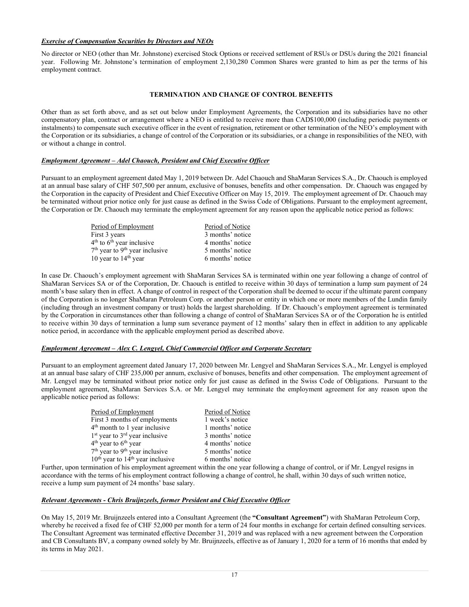# *Exercise of Compensation Securities by Directors and NEOs*

No director or NEO (other than Mr. Johnstone) exercised Stock Options or received settlement of RSUs or DSUs during the 2021 financial year. Following Mr. Johnstone's termination of employment 2,130,280 Common Shares were granted to him as per the terms of his employment contract.

# **TERMINATION AND CHANGE OF CONTROL BENEFITS**

Other than as set forth above, and as set out below under Employment Agreements, the Corporation and its subsidiaries have no other compensatory plan, contract or arrangement where a NEO is entitled to receive more than CAD\$100,000 (including periodic payments or instalments) to compensate such executive officer in the event of resignation, retirement or other termination of the NEO's employment with the Corporation or its subsidiaries, a change of control of the Corporation or its subsidiaries, or a change in responsibilities of the NEO, with or without a change in control.

# *Employment Agreement – Adel Chaouch, President and Chief Executive Officer*

Pursuant to an employment agreement dated May 1, 2019 between Dr. Adel Chaouch and ShaMaran Services S.A., Dr. Chaouch is employed at an annual base salary of CHF 507,500 per annum, exclusive of bonuses, benefits and other compensation. Dr. Chaouch was engaged by the Corporation in the capacity of President and Chief Executive Officer on May 15, 2019. The employment agreement of Dr. Chaouch may be terminated without prior notice only for just cause as defined in the Swiss Code of Obligations. Pursuant to the employment agreement, the Corporation or Dr. Chaouch may terminate the employment agreement for any reason upon the applicable notice period as follows:

| Period of Employment                         | Period of Notice |
|----------------------------------------------|------------------|
| First 3 years                                | 3 months' notice |
| $4th$ to $6th$ year inclusive                | 4 months' notice |
| $7th$ year to 9 <sup>th</sup> year inclusive | 5 months' notice |
| 10 year to $14th$ year                       | 6 months' notice |

In case Dr. Chaouch's employment agreement with ShaMaran Services SA is terminated within one year following a change of control of ShaMaran Services SA or of the Corporation, Dr. Chaouch is entitled to receive within 30 days of termination a lump sum payment of 24 month's base salary then in effect. A change of control in respect of the Corporation shall be deemed to occur if the ultimate parent company of the Corporation is no longer ShaMaran Petroleum Corp. or another person or entity in which one or more members of the Lundin family (including through an investment company or trust) holds the largest shareholding. If Dr. Chaouch's employment agreement is terminated by the Corporation in circumstances other than following a change of control of ShaMaran Services SA or of the Corporation he is entitled to receive within 30 days of termination a lump sum severance payment of 12 months' salary then in effect in addition to any applicable notice period, in accordance with the applicable employment period as described above.

# *Employment Agreement – Alex C. Lengyel, Chief Commercial Officer and Corporate Secretary*

Pursuant to an employment agreement dated January 17, 2020 between Mr. Lengyel and ShaMaran Services S.A., Mr. Lengyel is employed at an annual base salary of CHF 235,000 per annum, exclusive of bonuses, benefits and other compensation. The employment agreement of Mr. Lengyel may be terminated without prior notice only for just cause as defined in the Swiss Code of Obligations. Pursuant to the employment agreement, ShaMaran Services S.A. or Mr. Lengyel may terminate the employment agreement for any reason upon the applicable notice period as follows:

| Period of Employment                                   | Period of Notice |
|--------------------------------------------------------|------------------|
| First 3 months of employments                          | 1 week's notice  |
| 4 <sup>th</sup> month to 1 year inclusive              | 1 months' notice |
| $1st$ year to $3rd$ year inclusive                     | 3 months' notice |
| $4th$ year to $6th$ year                               | 4 months' notice |
| 7 <sup>th</sup> year to 9 <sup>th</sup> year inclusive | 5 months' notice |
| $10th$ year to $14th$ year inclusive                   | 6 months' notice |

Further, upon termination of his employment agreement within the one year following a change of control, or if Mr. Lengyel resigns in accordance with the terms of his employment contract following a change of control, he shall, within 30 days of such written notice, receive a lump sum payment of 24 months' base salary.

# *Relevant Agreements - Chris Bruijnzeels, former President and Chief Executive Officer*

On May 15, 2019 Mr. Bruijnzeels entered into a Consultant Agreement (the **"Consultant Agreement"**) with ShaMaran Petroleum Corp, whereby he received a fixed fee of CHF 52,000 per month for a term of 24 four months in exchange for certain defined consulting services. The Consultant Agreement was terminated effective December 31, 2019 and was replaced with a new agreement between the Corporation and CB Consultants BV, a company owned solely by Mr. Bruijnzeels, effective as of January 1, 2020 for a term of 16 months that ended by its terms in May 2021.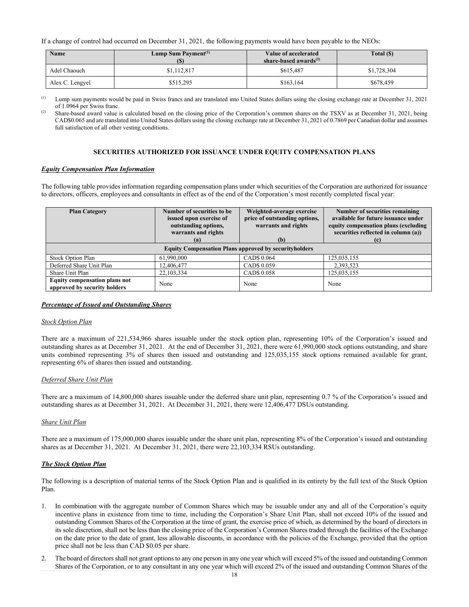If a change of control had occurred on December 31, 2021, the following payments would have been payable to the NEOs:

| <b>Name</b>     | Lump Sum Payment <sup>(1)</sup> | Value of accelerated<br>share-based awards $^{(2)}$ | Total (\$)  |
|-----------------|---------------------------------|-----------------------------------------------------|-------------|
| Adel Chaouch    | \$1,112,817                     | \$615,487                                           | \$1,728,304 |
| Alex C. Lengyel | \$515,295                       | \$163,164                                           | \$678,459   |

 $^{(1)}$  Lump sum payments would be paid in Swiss francs and are translated into United States dollars using the closing exchange rate at December 31, 2021

of 1.0964 per Swiss franc.<br>
<sup>(2)</sup> Share-based award value is calculated based on the closing price of the Corporation's common shares on the TSXV as at December 31, 2021, being CAD\$0.065 and are translated into United States dollars using the closing exchange rate at December 31, 2021 of 0.7869 per Canadian dollar and assumes full satisfaction of all other vesting conditions.

## **SECURITIES AUTHORIZED FOR ISSUANCE UNDER EQUITY COMPENSATION PLANS**

#### *Equity Compensation Plan Information*

The following table provides information regarding compensation plans under which securities of the Corporation are authorized for issuance to directors, officers, employees and consultants in effect as of the end of the Corporation's most recently completed fiscal year:

| <b>Plan Category</b>                                          | Number of securities to be<br>issued upon exercise of<br>outstanding options,<br>warrants and rights | Weighted-average exercise<br>price of outstanding options,<br>warrants and rights | Number of securities remaining<br>available for future issuance under<br>equity compensation plans (excluding<br>securities reflected in column (a)) |  |  |  |
|---------------------------------------------------------------|------------------------------------------------------------------------------------------------------|-----------------------------------------------------------------------------------|------------------------------------------------------------------------------------------------------------------------------------------------------|--|--|--|
|                                                               | (a)                                                                                                  | (b)                                                                               | (c)                                                                                                                                                  |  |  |  |
| <b>Equity Compensation Plans approved by securityholders</b>  |                                                                                                      |                                                                                   |                                                                                                                                                      |  |  |  |
| <b>Stock Option Plan</b>                                      | 61,990,000                                                                                           | CAD\$ 0.064                                                                       | 125,035,155                                                                                                                                          |  |  |  |
| Deferred Share Unit Plan                                      | 12,406,477                                                                                           | CAD\$ 0.059                                                                       | 2,393,523                                                                                                                                            |  |  |  |
| Share Unit Plan                                               | 22, 103, 334                                                                                         | CAD <sub>\$</sub> 0.058                                                           | 125,035,155                                                                                                                                          |  |  |  |
| Equity compensation plans not<br>approved by security holders | None                                                                                                 | None                                                                              | None                                                                                                                                                 |  |  |  |

#### *Percentage of Issued and Outstanding Shares*

#### *Stock Option Plan*

There are a maximum of 221,534,966 shares issuable under the stock option plan, representing 10% of the Corporation's issued and outstanding shares as at December 31, 2021. At the end of December 31, 2021, there were 61,990,000 stock options outstanding, and share units combined representing 3% of shares then issued and outstanding and 125,035,155 stock options remained available for grant, representing 6% of shares then issued and outstanding.

# *Deferred Share Unit Plan*

There are a maximum of 14,800,000 shares issuable under the deferred share unit plan, representing 0.7 % of the Corporation's issued and outstanding shares as at December 31, 2021. At December 31, 2021, there were 12,406,477 DSUs outstanding.

# *Share Unit Plan*

There are a maximum of 175,000,000 shares issuable under the share unit plan, representing 8% of the Corporation's issued and outstanding shares as at December 31, 2021. At December 31, 2021, there were 22,103,334 RSUs outstanding.

#### *The Stock Option Plan*

The following is a description of material terms of the Stock Option Plan and is qualified in its entirety by the full text of the Stock Option Plan.

- 1. In combination with the aggregate number of Common Shares which may be issuable under any and all of the Corporation's equity incentive plans in existence from time to time, including the Corporation's Share Unit Plan, shall not exceed 10% of the issued and outstanding Common Shares of the Corporation at the time of grant, the exercise price of which, as determined by the board of directors in its sole discretion, shall not be less than the closing price of the Corporation's Common Shares traded through the facilities of the Exchange on the date prior to the date of grant, less allowable discounts, in accordance with the policies of the Exchange, provided that the option price shall not be less than CAD \$0.05 per share.
- 2. The board of directors shall not grant options to any one person in any one year which will exceed 5% of the issued and outstanding Common Shares of the Corporation, or to any consultant in any one year which will exceed 2% of the issued and outstanding Common Shares of the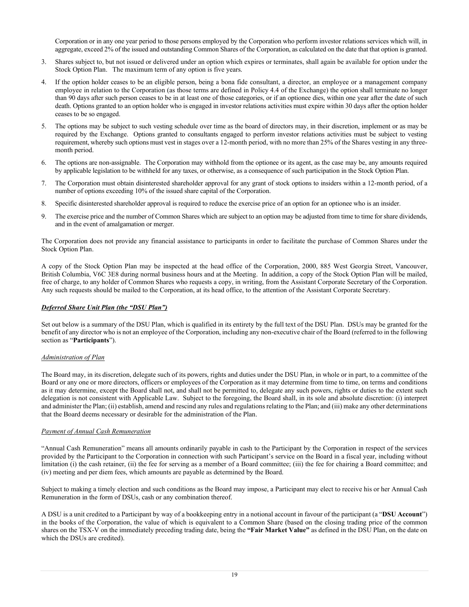Corporation or in any one year period to those persons employed by the Corporation who perform investor relations services which will, in aggregate, exceed 2% of the issued and outstanding Common Shares of the Corporation, as calculated on the date that that option is granted.

- 3. Shares subject to, but not issued or delivered under an option which expires or terminates, shall again be available for option under the Stock Option Plan. The maximum term of any option is five years.
- 4. If the option holder ceases to be an eligible person, being a bona fide consultant, a director, an employee or a management company employee in relation to the Corporation (as those terms are defined in Policy 4.4 of the Exchange) the option shall terminate no longer than 90 days after such person ceases to be in at least one of those categories, or if an optionee dies, within one year after the date of such death. Options granted to an option holder who is engaged in investor relations activities must expire within 30 days after the option holder ceases to be so engaged.
- 5. The options may be subject to such vesting schedule over time as the board of directors may, in their discretion, implement or as may be required by the Exchange. Options granted to consultants engaged to perform investor relations activities must be subject to vesting requirement, whereby such options must vest in stages over a 12-month period, with no more than 25% of the Shares vesting in any threemonth period.
- 6. The options are non-assignable. The Corporation may withhold from the optionee or its agent, as the case may be, any amounts required by applicable legislation to be withheld for any taxes, or otherwise, as a consequence of such participation in the Stock Option Plan.
- 7. The Corporation must obtain disinterested shareholder approval for any grant of stock options to insiders within a 12-month period, of a number of options exceeding 10% of the issued share capital of the Corporation.
- 8. Specific disinterested shareholder approval is required to reduce the exercise price of an option for an optionee who is an insider.
- 9. The exercise price and the number of Common Shares which are subject to an option may be adjusted from time to time for share dividends, and in the event of amalgamation or merger.

The Corporation does not provide any financial assistance to participants in order to facilitate the purchase of Common Shares under the Stock Option Plan.

A copy of the Stock Option Plan may be inspected at the head office of the Corporation, 2000, 885 West Georgia Street, Vancouver, British Columbia, V6C 3E8 during normal business hours and at the Meeting. In addition, a copy of the Stock Option Plan will be mailed, free of charge, to any holder of Common Shares who requests a copy, in writing, from the Assistant Corporate Secretary of the Corporation. Any such requests should be mailed to the Corporation, at its head office, to the attention of the Assistant Corporate Secretary.

#### *Deferred Share Unit Plan (the "DSU Plan")*

Set out below is a summary of the DSU Plan, which is qualified in its entirety by the full text of the DSU Plan. DSUs may be granted for the benefit of any director who is not an employee of the Corporation, including any non-executive chair of the Board (referred to in the following section as "**Participants**").

#### *Administration of Plan*

The Board may, in its discretion, delegate such of its powers, rights and duties under the DSU Plan, in whole or in part, to a committee of the Board or any one or more directors, officers or employees of the Corporation as it may determine from time to time, on terms and conditions as it may determine, except the Board shall not, and shall not be permitted to, delegate any such powers, rights or duties to the extent such delegation is not consistent with Applicable Law. Subject to the foregoing, the Board shall, in its sole and absolute discretion: (i) interpret and administer the Plan; (ii) establish, amend and rescind any rules and regulations relating to the Plan; and (iii) make any other determinations that the Board deems necessary or desirable for the administration of the Plan.

#### *Payment of Annual Cash Remuneration*

"Annual Cash Remuneration" means all amounts ordinarily payable in cash to the Participant by the Corporation in respect of the services provided by the Participant to the Corporation in connection with such Participant's service on the Board in a fiscal year, including without limitation (i) the cash retainer, (ii) the fee for serving as a member of a Board committee; (iii) the fee for chairing a Board committee; and (iv) meeting and per diem fees, which amounts are payable as determined by the Board.

Subject to making a timely election and such conditions as the Board may impose, a Participant may elect to receive his or her Annual Cash Remuneration in the form of DSUs, cash or any combination thereof.

A DSU is a unit credited to a Participant by way of a bookkeeping entry in a notional account in favour of the participant (a "**DSU Account**") in the books of the Corporation, the value of which is equivalent to a Common Share (based on the closing trading price of the common shares on the TSX-V on the immediately preceding trading date, being the **"Fair Market Value"** as defined in the DSU Plan, on the date on which the DSUs are credited).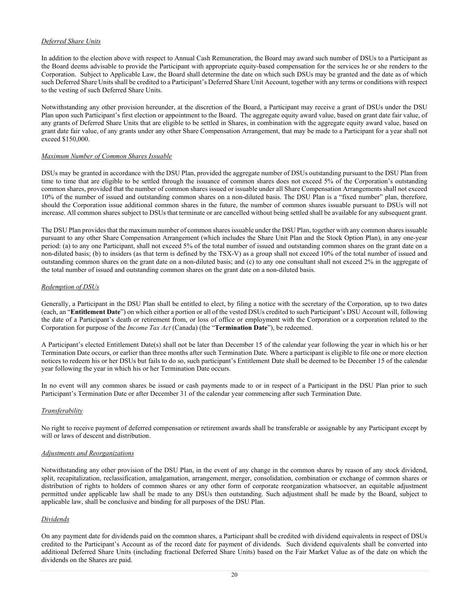# *Deferred Share Units*

In addition to the election above with respect to Annual Cash Remuneration, the Board may award such number of DSUs to a Participant as the Board deems advisable to provide the Participant with appropriate equity-based compensation for the services he or she renders to the Corporation. Subject to Applicable Law, the Board shall determine the date on which such DSUs may be granted and the date as of which such Deferred Share Units shall be credited to a Participant's Deferred Share Unit Account, together with any terms or conditions with respect to the vesting of such Deferred Share Units.

Notwithstanding any other provision hereunder, at the discretion of the Board, a Participant may receive a grant of DSUs under the DSU Plan upon such Participant's first election or appointment to the Board. The aggregate equity award value, based on grant date fair value, of any grants of Deferred Share Units that are eligible to be settled in Shares, in combination with the aggregate equity award value, based on grant date fair value, of any grants under any other Share Compensation Arrangement, that may be made to a Participant for a year shall not exceed \$150,000.

### *Maximum Number of Common Shares Issuable*

DSUs may be granted in accordance with the DSU Plan, provided the aggregate number of DSUs outstanding pursuant to the DSU Plan from time to time that are eligible to be settled through the issuance of common shares does not exceed 5% of the Corporation's outstanding common shares, provided that the number of common shares issued or issuable under all Share Compensation Arrangements shall not exceed 10% of the number of issued and outstanding common shares on a non-diluted basis. The DSU Plan is a "fixed number" plan, therefore, should the Corporation issue additional common shares in the future, the number of common shares issuable pursuant to DSUs will not increase. All common shares subject to DSUs that terminate or are cancelled without being settled shall be available for any subsequent grant.

The DSU Plan provides that the maximum number of common shares issuable under the DSU Plan, together with any common shares issuable pursuant to any other Share Compensation Arrangement (which includes the Share Unit Plan and the Stock Option Plan), in any one-year period: (a) to any one Participant, shall not exceed 5% of the total number of issued and outstanding common shares on the grant date on a non-diluted basis; (b) to insiders (as that term is defined by the TSX-V) as a group shall not exceed 10% of the total number of issued and outstanding common shares on the grant date on a non-diluted basis; and (c) to any one consultant shall not exceed 2% in the aggregate of the total number of issued and outstanding common shares on the grant date on a non-diluted basis.

### *Redemption of DSUs*

Generally, a Participant in the DSU Plan shall be entitled to elect, by filing a notice with the secretary of the Corporation, up to two dates (each, an "**Entitlement Date**") on which either a portion or all of the vested DSUs credited to such Participant's DSU Account will, following the date of a Participant's death or retirement from, or loss of office or employment with the Corporation or a corporation related to the Corporation for purpose of the *Income Tax Act* (Canada) (the "**Termination Date**"), be redeemed.

A Participant's elected Entitlement Date(s) shall not be later than December 15 of the calendar year following the year in which his or her Termination Date occurs, or earlier than three months after such Termination Date. Where a participant is eligible to file one or more election notices to redeem his or her DSUs but fails to do so, such participant's Entitlement Date shall be deemed to be December 15 of the calendar year following the year in which his or her Termination Date occurs.

In no event will any common shares be issued or cash payments made to or in respect of a Participant in the DSU Plan prior to such Participant's Termination Date or after December 31 of the calendar year commencing after such Termination Date.

# *Transferability*

No right to receive payment of deferred compensation or retirement awards shall be transferable or assignable by any Participant except by will or laws of descent and distribution.

#### *Adjustments and Reorganizations*

Notwithstanding any other provision of the DSU Plan, in the event of any change in the common shares by reason of any stock dividend, split, recapitalization, reclassification, amalgamation, arrangement, merger, consolidation, combination or exchange of common shares or distribution of rights to holders of common shares or any other form of corporate reorganization whatsoever, an equitable adjustment permitted under applicable law shall be made to any DSUs then outstanding. Such adjustment shall be made by the Board, subject to applicable law, shall be conclusive and binding for all purposes of the DSU Plan.

#### *Dividends*

On any payment date for dividends paid on the common shares, a Participant shall be credited with dividend equivalents in respect of DSUs credited to the Participant's Account as of the record date for payment of dividends. Such dividend equivalents shall be converted into additional Deferred Share Units (including fractional Deferred Share Units) based on the Fair Market Value as of the date on which the dividends on the Shares are paid.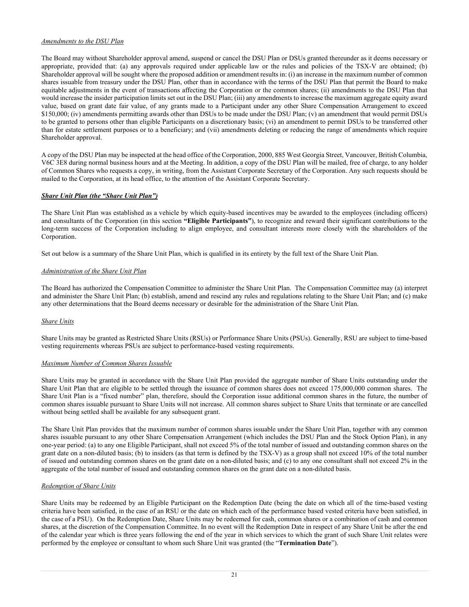# *Amendments to the DSU Plan*

The Board may without Shareholder approval amend, suspend or cancel the DSU Plan or DSUs granted thereunder as it deems necessary or appropriate, provided that: (a) any approvals required under applicable law or the rules and policies of the TSX-V are obtained; (b) Shareholder approval will be sought where the proposed addition or amendment results in: (i) an increase in the maximum number of common shares issuable from treasury under the DSU Plan, other than in accordance with the terms of the DSU Plan that permit the Board to make equitable adjustments in the event of transactions affecting the Corporation or the common shares; (ii) amendments to the DSU Plan that would increase the insider participation limits set out in the DSU Plan; (iii) any amendments to increase the maximum aggregate equity award value, based on grant date fair value, of any grants made to a Participant under any other Share Compensation Arrangement to exceed \$150,000; (iv) amendments permitting awards other than DSUs to be made under the DSU Plan; (v) an amendment that would permit DSUs to be granted to persons other than eligible Participants on a discretionary basis; (vi) an amendment to permit DSUs to be transferred other than for estate settlement purposes or to a beneficiary; and (vii) amendments deleting or reducing the range of amendments which require Shareholder approval.

A copy of the DSU Plan may be inspected at the head office of the Corporation, 2000, 885 West Georgia Street, Vancouver, British Columbia, V6C 3E8 during normal business hours and at the Meeting. In addition, a copy of the DSU Plan will be mailed, free of charge, to any holder of Common Shares who requests a copy, in writing, from the Assistant Corporate Secretary of the Corporation. Any such requests should be mailed to the Corporation, at its head office, to the attention of the Assistant Corporate Secretary.

# *Share Unit Plan (the "Share Unit Plan")*

The Share Unit Plan was established as a vehicle by which equity-based incentives may be awarded to the employees (including officers) and consultants of the Corporation (in this section **"Eligible Participants"**), to recognize and reward their significant contributions to the long-term success of the Corporation including to align employee, and consultant interests more closely with the shareholders of the Corporation.

Set out below is a summary of the Share Unit Plan, which is qualified in its entirety by the full text of the Share Unit Plan.

### *Administration of the Share Unit Plan*

The Board has authorized the Compensation Committee to administer the Share Unit Plan. The Compensation Committee may (a) interpret and administer the Share Unit Plan; (b) establish, amend and rescind any rules and regulations relating to the Share Unit Plan; and (c) make any other determinations that the Board deems necessary or desirable for the administration of the Share Unit Plan.

# *Share Units*

Share Units may be granted as Restricted Share Units (RSUs) or Performance Share Units (PSUs). Generally, RSU are subject to time-based vesting requirements whereas PSUs are subject to performance-based vesting requirements.

#### *Maximum Number of Common Shares Issuable*

Share Units may be granted in accordance with the Share Unit Plan provided the aggregate number of Share Units outstanding under the Share Unit Plan that are eligible to be settled through the issuance of common shares does not exceed 175,000,000 common shares. The Share Unit Plan is a "fixed number" plan, therefore, should the Corporation issue additional common shares in the future, the number of common shares issuable pursuant to Share Units will not increase. All common shares subject to Share Units that terminate or are cancelled without being settled shall be available for any subsequent grant.

The Share Unit Plan provides that the maximum number of common shares issuable under the Share Unit Plan, together with any common shares issuable pursuant to any other Share Compensation Arrangement (which includes the DSU Plan and the Stock Option Plan), in any one-year period: (a) to any one Eligible Participant, shall not exceed 5% of the total number of issued and outstanding common shares on the grant date on a non-diluted basis; (b) to insiders (as that term is defined by the TSX-V) as a group shall not exceed 10% of the total number of issued and outstanding common shares on the grant date on a non-diluted basis; and (c) to any one consultant shall not exceed 2% in the aggregate of the total number of issued and outstanding common shares on the grant date on a non-diluted basis.

#### *Redemption of Share Units*

Share Units may be redeemed by an Eligible Participant on the Redemption Date (being the date on which all of the time-based vesting criteria have been satisfied, in the case of an RSU or the date on which each of the performance based vested criteria have been satisfied, in the case of a PSU). On the Redemption Date, Share Units may be redeemed for cash, common shares or a combination of cash and common shares, at the discretion of the Compensation Committee. In no event will the Redemption Date in respect of any Share Unit be after the end of the calendar year which is three years following the end of the year in which services to which the grant of such Share Unit relates were performed by the employee or consultant to whom such Share Unit was granted (the "**Termination Date**").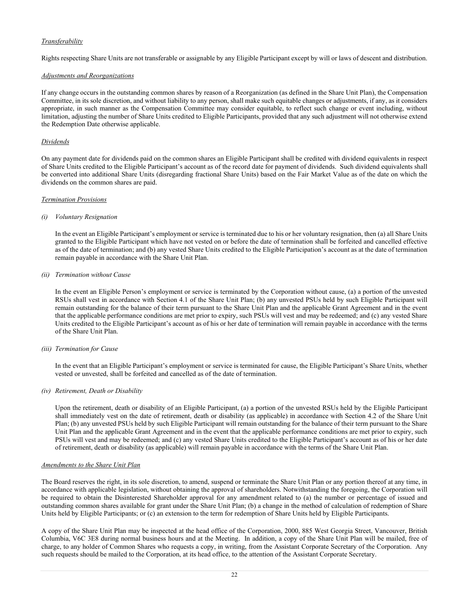# *Transferability*

Rights respecting Share Units are not transferable or assignable by any Eligible Participant except by will or laws of descent and distribution.

### *Adjustments and Reorganizations*

If any change occurs in the outstanding common shares by reason of a Reorganization (as defined in the Share Unit Plan), the Compensation Committee, in its sole discretion, and without liability to any person, shall make such equitable changes or adjustments, if any, as it considers appropriate, in such manner as the Compensation Committee may consider equitable, to reflect such change or event including, without limitation, adjusting the number of Share Units credited to Eligible Participants, provided that any such adjustment will not otherwise extend the Redemption Date otherwise applicable.

# *Dividends*

On any payment date for dividends paid on the common shares an Eligible Participant shall be credited with dividend equivalents in respect of Share Units credited to the Eligible Participant's account as of the record date for payment of dividends. Such dividend equivalents shall be converted into additional Share Units (disregarding fractional Share Units) based on the Fair Market Value as of the date on which the dividends on the common shares are paid.

### *Termination Provisions*

### *(i) Voluntary Resignation*

In the event an Eligible Participant's employment or service is terminated due to his or her voluntary resignation, then (a) all Share Units granted to the Eligible Participant which have not vested on or before the date of termination shall be forfeited and cancelled effective as of the date of termination; and (b) any vested Share Units credited to the Eligible Participation's account as at the date of termination remain payable in accordance with the Share Unit Plan.

### *(ii) Termination without Cause*

In the event an Eligible Person's employment or service is terminated by the Corporation without cause, (a) a portion of the unvested RSUs shall vest in accordance with Section 4.1 of the Share Unit Plan; (b) any unvested PSUs held by such Eligible Participant will remain outstanding for the balance of their term pursuant to the Share Unit Plan and the applicable Grant Agreement and in the event that the applicable performance conditions are met prior to expiry, such PSUs will vest and may be redeemed; and (c) any vested Share Units credited to the Eligible Participant's account as of his or her date of termination will remain payable in accordance with the terms of the Share Unit Plan.

#### *(iii) Termination for Cause*

In the event that an Eligible Participant's employment or service is terminated for cause, the Eligible Participant's Share Units, whether vested or unvested, shall be forfeited and cancelled as of the date of termination.

# *(iv) Retirement, Death or Disability*

Upon the retirement, death or disability of an Eligible Participant, (a) a portion of the unvested RSUs held by the Eligible Participant shall immediately vest on the date of retirement, death or disability (as applicable) in accordance with Section 4.2 of the Share Unit Plan; (b) any unvested PSUs held by such Eligible Participant will remain outstanding for the balance of their term pursuant to the Share Unit Plan and the applicable Grant Agreement and in the event that the applicable performance conditions are met prior to expiry, such PSUs will vest and may be redeemed; and (c) any vested Share Units credited to the Eligible Participant's account as of his or her date of retirement, death or disability (as applicable) will remain payable in accordance with the terms of the Share Unit Plan.

# *Amendments to the Share Unit Plan*

The Board reserves the right, in its sole discretion, to amend, suspend or terminate the Share Unit Plan or any portion thereof at any time, in accordance with applicable legislation, without obtaining the approval of shareholders. Notwithstanding the foregoing, the Corporation will be required to obtain the Disinterested Shareholder approval for any amendment related to (a) the number or percentage of issued and outstanding common shares available for grant under the Share Unit Plan; (b) a change in the method of calculation of redemption of Share Units held by Eligible Participants; or (c) an extension to the term for redemption of Share Units held by Eligible Participants.

A copy of the Share Unit Plan may be inspected at the head office of the Corporation, 2000, 885 West Georgia Street, Vancouver, British Columbia, V6C 3E8 during normal business hours and at the Meeting. In addition, a copy of the Share Unit Plan will be mailed, free of charge, to any holder of Common Shares who requests a copy, in writing, from the Assistant Corporate Secretary of the Corporation. Any such requests should be mailed to the Corporation, at its head office, to the attention of the Assistant Corporate Secretary.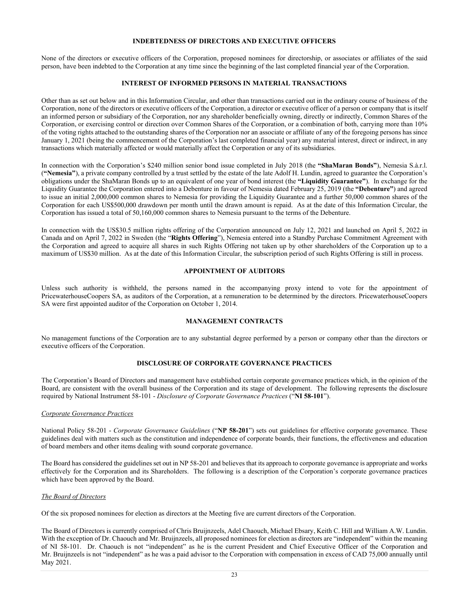### **INDEBTEDNESS OF DIRECTORS AND EXECUTIVE OFFICERS**

None of the directors or executive officers of the Corporation, proposed nominees for directorship, or associates or affiliates of the said person, have been indebted to the Corporation at any time since the beginning of the last completed financial year of the Corporation.

## **INTEREST OF INFORMED PERSONS IN MATERIAL TRANSACTIONS**

Other than as set out below and in this Information Circular, and other than transactions carried out in the ordinary course of business of the Corporation, none of the directors or executive officers of the Corporation, a director or executive officer of a person or company that is itself an informed person or subsidiary of the Corporation, nor any shareholder beneficially owning, directly or indirectly, Common Shares of the Corporation, or exercising control or direction over Common Shares of the Corporation, or a combination of both, carrying more than 10% of the voting rights attached to the outstanding shares of the Corporation nor an associate or affiliate of any of the foregoing persons has since January 1, 2021 (being the commencement of the Corporation's last completed financial year) any material interest, direct or indirect, in any transactions which materially affected or would materially affect the Corporation or any of its subsidiaries.

In connection with the Corporation's \$240 million senior bond issue completed in July 2018 (the **"ShaMaran Bonds"**), Nemesia S.à.r.l. (**"Nemesia"**), a private company controlled by a trust settled by the estate of the late Adolf H. Lundin, agreed to guarantee the Corporation's obligations under the ShaMaran Bonds up to an equivalent of one year of bond interest (the **"Liquidity Guarantee"**). In exchange for the Liquidity Guarantee the Corporation entered into a Debenture in favour of Nemesia dated February 25, 2019 (the **"Debenture"**) and agreed to issue an initial 2,000,000 common shares to Nemesia for providing the Liquidity Guarantee and a further 50,000 common shares of the Corporation for each US\$500,000 drawdown per month until the drawn amount is repaid. As at the date of this Information Circular, the Corporation has issued a total of 50,160,000 common shares to Nemesia pursuant to the terms of the Debenture.

In connection with the US\$30.5 million rights offering of the Corporation announced on July 12, 2021 and launched on April 5, 2022 in Canada and on April 7, 2022 in Sweden (the "**Rights Offering**"), Nemesia entered into a Standby Purchase Commitment Agreement with the Corporation and agreed to acquire all shares in such Rights Offering not taken up by other shareholders of the Corporation up to a maximum of US\$30 million. As at the date of this Information Circular, the subscription period of such Rights Offering is still in process.

#### **APPOINTMENT OF AUDITORS**

Unless such authority is withheld, the persons named in the accompanying proxy intend to vote for the appointment of PricewaterhouseCoopers SA, as auditors of the Corporation, at a remuneration to be determined by the directors. PricewaterhouseCoopers SA were first appointed auditor of the Corporation on October 1, 2014.

#### **MANAGEMENT CONTRACTS**

No management functions of the Corporation are to any substantial degree performed by a person or company other than the directors or executive officers of the Corporation.

# **DISCLOSURE OF CORPORATE GOVERNANCE PRACTICES**

The Corporation's Board of Directors and management have established certain corporate governance practices which, in the opinion of the Board, are consistent with the overall business of the Corporation and its stage of development. The following represents the disclosure required by National Instrument 58-101 - *Disclosure of Corporate Governance Practices* ("**NI 58-101**").

#### *Corporate Governance Practices*

National Policy 58-201 - *Corporate Governance Guidelines* ("**NP 58-201**") sets out guidelines for effective corporate governance. These guidelines deal with matters such as the constitution and independence of corporate boards, their functions, the effectiveness and education of board members and other items dealing with sound corporate governance.

The Board has considered the guidelines set out in NP 58-201 and believes that its approach to corporate governance is appropriate and works effectively for the Corporation and its Shareholders. The following is a description of the Corporation's corporate governance practices which have been approved by the Board.

# *The Board of Directors*

Of the six proposed nominees for election as directors at the Meeting five are current directors of the Corporation.

The Board of Directors is currently comprised of Chris Bruijnzeels, Adel Chaouch, Michael Ebsary, Keith C. Hill and William A.W. Lundin. With the exception of Dr. Chaouch and Mr. Bruijnzeels, all proposed nominees for election as directors are "independent" within the meaning of NI 58-101. Dr. Chaouch is not "independent" as he is the current President and Chief Executive Officer of the Corporation and Mr. Bruijnzeels is not "independent" as he was a paid advisor to the Corporation with compensation in excess of CAD 75,000 annually until May 2021.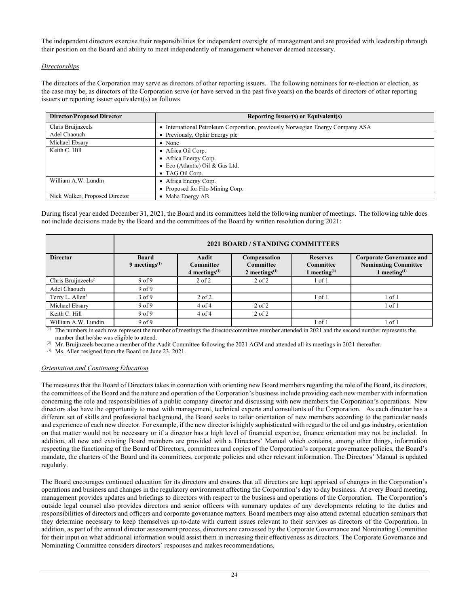The independent directors exercise their responsibilities for independent oversight of management and are provided with leadership through their position on the Board and ability to meet independently of management whenever deemed necessary.

# *Directorships*

The directors of the Corporation may serve as directors of other reporting issuers. The following nominees for re-election or election, as the case may be, as directors of the Corporation serve (or have served in the past five years) on the boards of directors of other reporting issuers or reporting issuer equivalent(s) as follows

| <b>Director/Proposed Director</b> | Reporting Issuer(s) or Equivalent(s)                                         |
|-----------------------------------|------------------------------------------------------------------------------|
| Chris Bruijnzeels                 | International Petroleum Corporation, previously Norwegian Energy Company ASA |
| Adel Chaouch                      | • Previously, Ophir Energy plc                                               |
| Michael Ebsary                    | $\bullet$ None                                                               |
| Keith C. Hill                     | • Africa Oil Corp.                                                           |
|                                   | • Africa Energy Corp.                                                        |
|                                   | • Eco (Atlantic) Oil & Gas Ltd.                                              |
|                                   | • TAG Oil Corp.                                                              |
| William A.W. Lundin               | • Africa Energy Corp.                                                        |
|                                   | • Proposed for Filo Mining Corp.                                             |
| Nick Walker, Proposed Director    | • Maha Energy AB                                                             |

During fiscal year ended December 31, 2021, the Board and its committees held the following number of meetings. The following table does not include decisions made by the Board and the committees of the Board by written resolution during 2021:

|                                | 2021 BOARD / STANDING COMMITTEES |                                               |                                                      |                                                 |                                                                                   |
|--------------------------------|----------------------------------|-----------------------------------------------|------------------------------------------------------|-------------------------------------------------|-----------------------------------------------------------------------------------|
| <b>Director</b>                | <b>Board</b><br>9 meetings $(1)$ | <b>Audit</b><br>Committee<br>4 meetings $(1)$ | Compensation<br><b>Committee</b><br>2 meetings $(1)$ | <b>Reserves</b><br>Committee<br>1 meeting $(1)$ | <b>Corporate Governance and</b><br><b>Nominating Committee</b><br>1 meeting $(1)$ |
| Chris Bruijnzeels <sup>2</sup> | 9 <sub>of</sub> 9                | $2$ of $2$                                    | $2$ of $2$                                           | $1$ of $1$                                      |                                                                                   |
| Adel Chaouch                   | 9 <sub>of</sub> 9                |                                               |                                                      |                                                 |                                                                                   |
| Terry L. Allen <sup>3</sup>    | $3$ of 9                         | $2$ of $2$                                    |                                                      | $1$ of $1$                                      | l of 1                                                                            |
| Michael Ebsary                 | 9 <sub>of</sub> 9                | $4$ of $4$                                    | $2$ of $2$                                           |                                                 | l of 1                                                                            |
| Keith C. Hill                  | 9 <sub>of</sub> 9                | $4$ of $4$                                    | $2$ of $2$                                           |                                                 |                                                                                   |
| William A.W. Lundin            | 9 <sub>of</sub> 9                |                                               |                                                      | $1$ of $1$                                      | l of 1                                                                            |

 $\overline{p}$  The numbers in each row represent the number of meetings the director/committee member attended in 2021 and the second number represents the number that he/she was eligible to attend.

 $^{(2)}$  Mr. Bruijnzeels became a member of the Audit Committee following the 2021 AGM and attended all its meetings in 2021 thereafter.

(3) Ms. Allen resigned from the Board on June 23, 2021.

# *Orientation and Continuing Education*

The measures that the Board of Directors takes in connection with orienting new Board members regarding the role of the Board, its directors, the committees of the Board and the nature and operation of the Corporation's business include providing each new member with information concerning the role and responsibilities of a public company director and discussing with new members the Corporation's operations. New directors also have the opportunity to meet with management, technical experts and consultants of the Corporation. As each director has a different set of skills and professional background, the Board seeks to tailor orientation of new members according to the particular needs and experience of each new director. For example, if the new director is highly sophisticated with regard to the oil and gas industry, orientation on that matter would not be necessary or if a director has a high level of financial expertise, finance orientation may not be included. In addition, all new and existing Board members are provided with a Directors' Manual which contains, among other things, information respecting the functioning of the Board of Directors, committees and copies of the Corporation's corporate governance policies, the Board's mandate, the charters of the Board and its committees, corporate policies and other relevant information. The Directors' Manual is updated regularly.

The Board encourages continued education for its directors and ensures that all directors are kept apprised of changes in the Corporation's operations and business and changes in the regulatory environment affecting the Corporation's day to day business. At every Board meeting, management provides updates and briefings to directors with respect to the business and operations of the Corporation. The Corporation's outside legal counsel also provides directors and senior officers with summary updates of any developments relating to the duties and responsibilities of directors and officers and corporate governance matters. Board members may also attend external education seminars that they determine necessary to keep themselves up-to-date with current issues relevant to their services as directors of the Corporation. In addition, as part of the annual director assessment process, directors are canvassed by the Corporate Governance and Nominating Committee for their input on what additional information would assist them in increasing their effectiveness as directors. The Corporate Governance and Nominating Committee considers directors' responses and makes recommendations.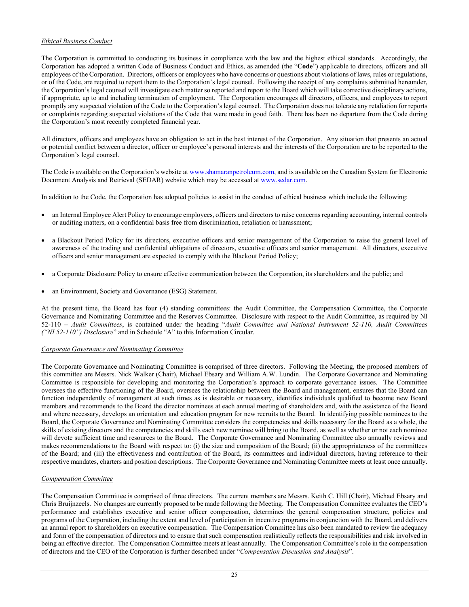# *Ethical Business Conduct*

The Corporation is committed to conducting its business in compliance with the law and the highest ethical standards. Accordingly, the Corporation has adopted a written Code of Business Conduct and Ethics, as amended (the "**Code**") applicable to directors, officers and all employees of the Corporation. Directors, officers or employees who have concerns or questions about violations of laws, rules or regulations, or of the Code, are required to report them to the Corporation's legal counsel. Following the receipt of any complaints submitted hereunder, the Corporation's legal counsel will investigate each matter so reported and report to the Board which will take corrective disciplinary actions, if appropriate, up to and including termination of employment. The Corporation encourages all directors, officers, and employees to report promptly any suspected violation of the Code to the Corporation's legal counsel. The Corporation does not tolerate any retaliation for reports or complaints regarding suspected violations of the Code that were made in good faith. There has been no departure from the Code during the Corporation's most recently completed financial year.

All directors, officers and employees have an obligation to act in the best interest of the Corporation. Any situation that presents an actual or potential conflict between a director, officer or employee's personal interests and the interests of the Corporation are to be reported to the Corporation's legal counsel.

The Code is available on the Corporation's website a[t www.shamaranpetroleum.com,](http://www.shamaranpetroleum.com/) and is available on the Canadian System for Electronic Document Analysis and Retrieval (SEDAR) website which may be accessed a[t www.sedar.com.](http://www.sedar.com/)

In addition to the Code, the Corporation has adopted policies to assist in the conduct of ethical business which include the following:

- an Internal Employee Alert Policy to encourage employees, officers and directors to raise concerns regarding accounting, internal controls or auditing matters, on a confidential basis free from discrimination, retaliation or harassment;
- a Blackout Period Policy for its directors, executive officers and senior management of the Corporation to raise the general level of awareness of the trading and confidential obligations of directors, executive officers and senior management. All directors, executive officers and senior management are expected to comply with the Blackout Period Policy;
- a Corporate Disclosure Policy to ensure effective communication between the Corporation, its shareholders and the public; and
- an Environment, Society and Governance (ESG) Statement.

At the present time, the Board has four (4) standing committees: the Audit Committee, the Compensation Committee, the Corporate Governance and Nominating Committee and the Reserves Committee. Disclosure with respect to the Audit Committee, as required by NI 52-110 – *Audit Committees*, is contained under the heading "*Audit Committee and National Instrument 52-110, Audit Committees ("NI 52-110") Disclosure*" and in Schedule "A" to this Information Circular.

# *Corporate Governance and Nominating Committee*

The Corporate Governance and Nominating Committee is comprised of three directors. Following the Meeting, the proposed members of this committee are Messrs. Nick Walker (Chair), Michael Ebsary and William A.W. Lundin. The Corporate Governance and Nominating Committee is responsible for developing and monitoring the Corporation's approach to corporate governance issues. The Committee oversees the effective functioning of the Board, oversees the relationship between the Board and management, ensures that the Board can function independently of management at such times as is desirable or necessary, identifies individuals qualified to become new Board members and recommends to the Board the director nominees at each annual meeting of shareholders and, with the assistance of the Board and where necessary, develops an orientation and education program for new recruits to the Board. In identifying possible nominees to the Board, the Corporate Governance and Nominating Committee considers the competencies and skills necessary for the Board as a whole, the skills of existing directors and the competencies and skills each new nominee will bring to the Board, as well as whether or not each nominee will devote sufficient time and resources to the Board. The Corporate Governance and Nominating Committee also annually reviews and makes recommendations to the Board with respect to: (i) the size and composition of the Board; (ii) the appropriateness of the committees of the Board; and (iii) the effectiveness and contribution of the Board, its committees and individual directors, having reference to their respective mandates, charters and position descriptions. The Corporate Governance and Nominating Committee meets at least once annually.

# *Compensation Committee*

The Compensation Committee is comprised of three directors. The current members are Messrs. Keith C. Hill (Chair), Michael Ebsary and Chris Bruijnzeels. No changes are currently proposed to be made following the Meeting. The Compensation Committee evaluates the CEO's performance and establishes executive and senior officer compensation, determines the general compensation structure, policies and programs of the Corporation, including the extent and level of participation in incentive programs in conjunction with the Board, and delivers an annual report to shareholders on executive compensation. The Compensation Committee has also been mandated to review the adequacy and form of the compensation of directors and to ensure that such compensation realistically reflects the responsibilities and risk involved in being an effective director. The Compensation Committee meets at least annually. The Compensation Committee's role in the compensation of directors and the CEO of the Corporation is further described under "*Compensation Discussion and Analysis*".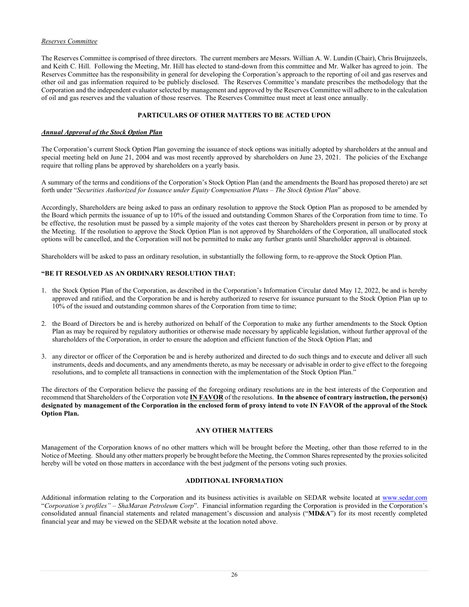# *Reserves Committee*

The Reserves Committee is comprised of three directors. The current members are Messrs. Willian A. W. Lundin (Chair), Chris Bruijnzeels, and Keith C. Hill. Following the Meeting, Mr. Hill has elected to stand-down from this committee and Mr. Walker has agreed to join. The Reserves Committee has the responsibility in general for developing the Corporation's approach to the reporting of oil and gas reserves and other oil and gas information required to be publicly disclosed. The Reserves Committee's mandate prescribes the methodology that the Corporation and the independent evaluator selected by management and approved by the Reserves Committee will adhere to in the calculation of oil and gas reserves and the valuation of those reserves. The Reserves Committee must meet at least once annually.

# **PARTICULARS OF OTHER MATTERS TO BE ACTED UPON**

# *Annual Approval of the Stock Option Plan*

The Corporation's current Stock Option Plan governing the issuance of stock options was initially adopted by shareholders at the annual and special meeting held on June 21, 2004 and was most recently approved by shareholders on June 23, 2021. The policies of the Exchange require that rolling plans be approved by shareholders on a yearly basis.

A summary of the terms and conditions of the Corporation's Stock Option Plan (and the amendments the Board has proposed thereto) are set forth under "*Securities Authorized for Issuance under Equity Compensation Plans – The Stock Option Plan*" above.

Accordingly, Shareholders are being asked to pass an ordinary resolution to approve the Stock Option Plan as proposed to be amended by the Board which permits the issuance of up to 10% of the issued and outstanding Common Shares of the Corporation from time to time. To be effective, the resolution must be passed by a simple majority of the votes cast thereon by Shareholders present in person or by proxy at the Meeting. If the resolution to approve the Stock Option Plan is not approved by Shareholders of the Corporation, all unallocated stock options will be cancelled, and the Corporation will not be permitted to make any further grants until Shareholder approval is obtained.

Shareholders will be asked to pass an ordinary resolution, in substantially the following form, to re-approve the Stock Option Plan.

# **"BE IT RESOLVED AS AN ORDINARY RESOLUTION THAT:**

- 1. the Stock Option Plan of the Corporation, as described in the Corporation's Information Circular dated May 12, 2022, be and is hereby approved and ratified, and the Corporation be and is hereby authorized to reserve for issuance pursuant to the Stock Option Plan up to 10% of the issued and outstanding common shares of the Corporation from time to time;
- 2. the Board of Directors be and is hereby authorized on behalf of the Corporation to make any further amendments to the Stock Option Plan as may be required by regulatory authorities or otherwise made necessary by applicable legislation, without further approval of the shareholders of the Corporation, in order to ensure the adoption and efficient function of the Stock Option Plan; and
- 3. any director or officer of the Corporation be and is hereby authorized and directed to do such things and to execute and deliver all such instruments, deeds and documents, and any amendments thereto, as may be necessary or advisable in order to give effect to the foregoing resolutions, and to complete all transactions in connection with the implementation of the Stock Option Plan."

The directors of the Corporation believe the passing of the foregoing ordinary resolutions are in the best interests of the Corporation and recommend that Shareholders of the Corporation vote **IN FAVOR** of the resolutions. **In the absence of contrary instruction, the person(s) designated by management of the Corporation in the enclosed form of proxy intend to vote IN FAVOR of the approval of the Stock Option Plan.**

# **ANY OTHER MATTERS**

Management of the Corporation knows of no other matters which will be brought before the Meeting, other than those referred to in the Notice of Meeting. Should any other matters properly be brought before the Meeting, the Common Shares represented by the proxies solicited hereby will be voted on those matters in accordance with the best judgment of the persons voting such proxies.

# **ADDITIONAL INFORMATION**

Additional information relating to the Corporation and its business activities is available on SEDAR website located at [www.sedar.com](http://www.sedar.com/) "*Corporation's profiles" – ShaMaran Petroleum Corp*". Financial information regarding the Corporation is provided in the Corporation's consolidated annual financial statements and related management's discussion and analysis ("**MD&A**") for its most recently completed financial year and may be viewed on the SEDAR website at the location noted above.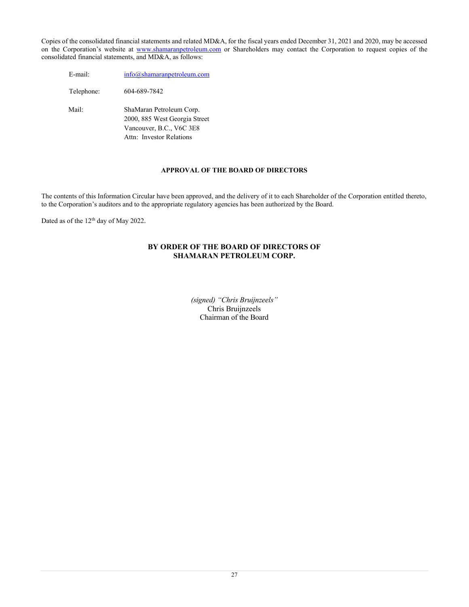Copies of the consolidated financial statements and related MD&A, for the fiscal years ended December 31, 2021 and 2020, may be accessed on the Corporation's website at [www.shamaranpetroleum.com](http://www.shamaranpetroleum.com/) or Shareholders may contact the Corporation to request copies of the consolidated financial statements, and MD&A, as follows:

E-mail: [info@shamaranpetroleum.com](mailto:info@shamaranpetroleum.com) Telephone: 604-689-7842 Mail: ShaMaran Petroleum Corp. 2000, 885 West Georgia Street Vancouver, B.C., V6C 3E8 Attn: Investor Relations

# **APPROVAL OF THE BOARD OF DIRECTORS**

The contents of this Information Circular have been approved, and the delivery of it to each Shareholder of the Corporation entitled thereto, to the Corporation's auditors and to the appropriate regulatory agencies has been authorized by the Board.

Dated as of the 12<sup>th</sup> day of May 2022.

# **BY ORDER OF THE BOARD OF DIRECTORS OF SHAMARAN PETROLEUM CORP.**

*(signed) "Chris Bruijnzeels"* Chris Bruijnzeels Chairman of the Board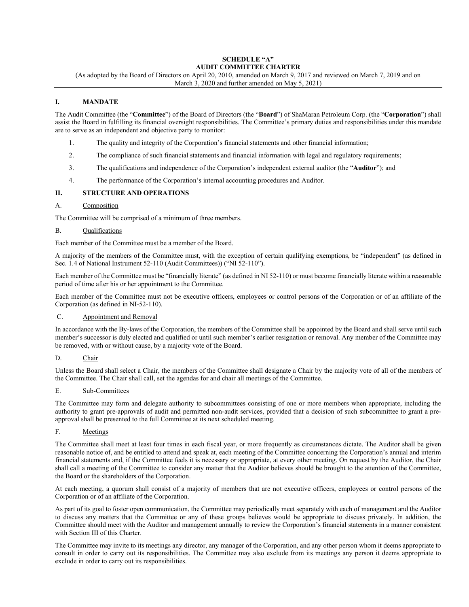# **SCHEDULE "A" AUDIT COMMITTEE CHARTER**

(As adopted by the Board of Directors on April 20, 2010, amended on March 9, 2017 and reviewed on March 7, 2019 and on March 3, 2020 and further amended on May 5, 2021)

# **I. MANDATE**

The Audit Committee (the "**Committee**") of the Board of Directors (the "**Board**") of ShaMaran Petroleum Corp. (the "**Corporation**") shall assist the Board in fulfilling its financial oversight responsibilities. The Committee's primary duties and responsibilities under this mandate are to serve as an independent and objective party to monitor:

- 1. The quality and integrity of the Corporation's financial statements and other financial information;
- 2. The compliance of such financial statements and financial information with legal and regulatory requirements;
- 3. The qualifications and independence of the Corporation's independent external auditor (the "**Auditor**"); and
- 4. The performance of the Corporation's internal accounting procedures and Auditor.

# **II. STRUCTURE AND OPERATIONS**

### A. Composition

The Committee will be comprised of a minimum of three members.

### B. Qualifications

Each member of the Committee must be a member of the Board.

A majority of the members of the Committee must, with the exception of certain qualifying exemptions, be "independent" (as defined in Sec. 1.4 of National Instrument 52-110 (Audit Committees)) ("NI 52-110").

Each member of the Committee must be "financially literate" (as defined in NI 52-110) or must become financially literate within a reasonable period of time after his or her appointment to the Committee.

Each member of the Committee must not be executive officers, employees or control persons of the Corporation or of an affiliate of the Corporation (as defined in NI-52-110).

#### C. Appointment and Removal

In accordance with the By-laws of the Corporation, the members of the Committee shall be appointed by the Board and shall serve until such member's successor is duly elected and qualified or until such member's earlier resignation or removal. Any member of the Committee may be removed, with or without cause, by a majority vote of the Board.

# D. Chair

Unless the Board shall select a Chair, the members of the Committee shall designate a Chair by the majority vote of all of the members of the Committee. The Chair shall call, set the agendas for and chair all meetings of the Committee.

# E. Sub-Committees

The Committee may form and delegate authority to subcommittees consisting of one or more members when appropriate, including the authority to grant pre-approvals of audit and permitted non-audit services, provided that a decision of such subcommittee to grant a preapproval shall be presented to the full Committee at its next scheduled meeting.

F. Meetings

The Committee shall meet at least four times in each fiscal year, or more frequently as circumstances dictate. The Auditor shall be given reasonable notice of, and be entitled to attend and speak at, each meeting of the Committee concerning the Corporation's annual and interim financial statements and, if the Committee feels it is necessary or appropriate, at every other meeting. On request by the Auditor, the Chair shall call a meeting of the Committee to consider any matter that the Auditor believes should be brought to the attention of the Committee, the Board or the shareholders of the Corporation.

At each meeting, a quorum shall consist of a majority of members that are not executive officers, employees or control persons of the Corporation or of an affiliate of the Corporation.

As part of its goal to foster open communication, the Committee may periodically meet separately with each of management and the Auditor to discuss any matters that the Committee or any of these groups believes would be appropriate to discuss privately. In addition, the Committee should meet with the Auditor and management annually to review the Corporation's financial statements in a manner consistent with Section III of this Charter.

The Committee may invite to its meetings any director, any manager of the Corporation, and any other person whom it deems appropriate to consult in order to carry out its responsibilities. The Committee may also exclude from its meetings any person it deems appropriate to exclude in order to carry out its responsibilities.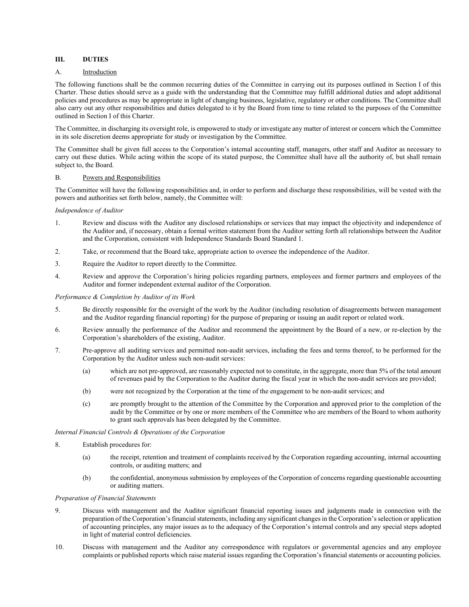# **III. DUTIES**

## A. **Introduction**

The following functions shall be the common recurring duties of the Committee in carrying out its purposes outlined in Section I of this Charter. These duties should serve as a guide with the understanding that the Committee may fulfill additional duties and adopt additional policies and procedures as may be appropriate in light of changing business, legislative, regulatory or other conditions. The Committee shall also carry out any other responsibilities and duties delegated to it by the Board from time to time related to the purposes of the Committee outlined in Section I of this Charter.

The Committee, in discharging its oversight role, is empowered to study or investigate any matter of interest or concern which the Committee in its sole discretion deems appropriate for study or investigation by the Committee.

The Committee shall be given full access to the Corporation's internal accounting staff, managers, other staff and Auditor as necessary to carry out these duties. While acting within the scope of its stated purpose, the Committee shall have all the authority of, but shall remain subject to, the Board.

#### B. Powers and Responsibilities

The Committee will have the following responsibilities and, in order to perform and discharge these responsibilities, will be vested with the powers and authorities set forth below, namely, the Committee will:

#### *Independence of Auditor*

- 1. Review and discuss with the Auditor any disclosed relationships or services that may impact the objectivity and independence of the Auditor and, if necessary, obtain a formal written statement from the Auditor setting forth all relationships between the Auditor and the Corporation, consistent with Independence Standards Board Standard 1.
- 2. Take, or recommend that the Board take, appropriate action to oversee the independence of the Auditor.
- 3. Require the Auditor to report directly to the Committee.
- 4. Review and approve the Corporation's hiring policies regarding partners, employees and former partners and employees of the Auditor and former independent external auditor of the Corporation.

#### *Performance & Completion by Auditor of its Work*

- 5. Be directly responsible for the oversight of the work by the Auditor (including resolution of disagreements between management and the Auditor regarding financial reporting) for the purpose of preparing or issuing an audit report or related work.
- 6. Review annually the performance of the Auditor and recommend the appointment by the Board of a new, or re-election by the Corporation's shareholders of the existing, Auditor.
- 7. Pre-approve all auditing services and permitted non-audit services, including the fees and terms thereof, to be performed for the Corporation by the Auditor unless such non-audit services:
	- (a) which are not pre-approved, are reasonably expected not to constitute, in the aggregate, more than 5% of the total amount of revenues paid by the Corporation to the Auditor during the fiscal year in which the non-audit services are provided;
	- (b) were not recognized by the Corporation at the time of the engagement to be non-audit services; and
	- (c) are promptly brought to the attention of the Committee by the Corporation and approved prior to the completion of the audit by the Committee or by one or more members of the Committee who are members of the Board to whom authority to grant such approvals has been delegated by the Committee.

#### *Internal Financial Controls & Operations of the Corporation*

- 8. Establish procedures for:
	- (a) the receipt, retention and treatment of complaints received by the Corporation regarding accounting, internal accounting controls, or auditing matters; and
	- (b) the confidential, anonymous submission by employees of the Corporation of concerns regarding questionable accounting or auditing matters.

#### *Preparation of Financial Statements*

- 9. Discuss with management and the Auditor significant financial reporting issues and judgments made in connection with the preparation of the Corporation's financial statements, including any significant changes in the Corporation's selection or application of accounting principles, any major issues as to the adequacy of the Corporation's internal controls and any special steps adopted in light of material control deficiencies.
- 10. Discuss with management and the Auditor any correspondence with regulators or governmental agencies and any employee complaints or published reports which raise material issues regarding the Corporation's financial statements or accounting policies.